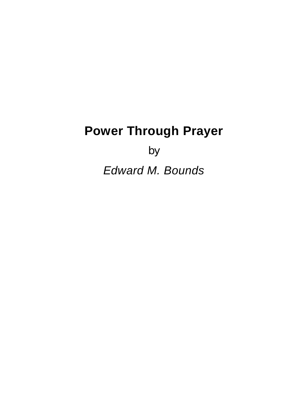# **Power Through Prayer**

by

*Edward M. Bounds*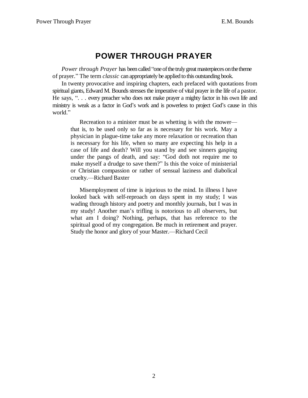# **POWER THROUGH PRAYER**

*Power through Prayer* has been called "one of the truly great masterpieces on the theme of prayer.´ The term *classic* can appropriately be applied to this outstanding book.

In twenty provocative and inspiring chapters, each prefaced with quotations from spiritual giants, Edward M. Bounds stresses the imperative of vital prayer in the life of a pastor. He says, ". . . every preacher who does not make prayer a mighty factor in his own life and ministry is weak as a factor in God's work and is powerless to project God's cause in this world."

Recreation to a minister must be as whetting is with the mower that is, to be used only so far as is necessary for his work. May a physician in plague-time take any more relaxation or recreation than is necessary for his life, when so many are expecting his help in a case of life and death? Will you stand by and see sinners gasping under the pangs of death, and say: "God doth not require me to make myself a drudge to save them?" Is this the voice of ministerial or Christian compassion or rather of sensual laziness and diabolical cruelty.—Richard Baxter

Misemployment of time is injurious to the mind. In illness I have looked back with self-reproach on days spent in my study; I was wading through history and poetry and monthly journals, but I was in my study! Another man's trifling is notorious to all observers, but what am I doing? Nothing, perhaps, that has reference to the spiritual good of my congregation. Be much in retirement and prayer. Study the honor and glory of your Master.—Richard Cecil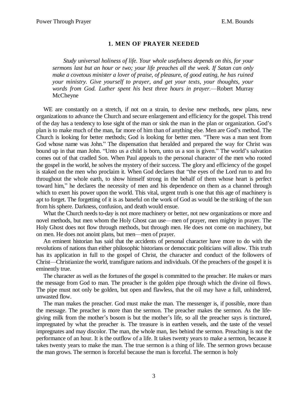# **1. MEN OF PRAYER NEEDED**

*Study universal holiness of life. Your whole usefulness depends on this, for your sermons last but an hour or two; your life preaches all the week. If Satan can only make a covetous minister a lover of praise, of pleasure, of good eating, he has ruined your ministry. Give yourself to prayer, and get your texts, your thoughts, your words from God. Luther spent his best three hours in prayer.*—Robert Murray **McCheyne** 

WE are constantly on a stretch, if not on a strain, to devise new methods, new plans, new organizations to advance the Church and secure enlargement and efficiency for the gospel. This trend of the day has a tendency to lose sight of the man or sink the man in the plan or organization. God's plan is to make much of the man, far more of him than of anything else. Men are God's method. The Church is looking for better methods; God is looking for better men. "There was a man sent from God whose name was John." The dispensation that heralded and prepared the way for Christ was bound up in that man John. "Unto us a child is born, unto us a son is given." The world's salvation comes out of that cradled Son. When Paul appeals to the personal character of the men who rooted the gospel in the world, he solves the mystery of their success. The glory and efficiency of the gospel is staked on the men who proclaim it. When God declares that "the eyes of the Lord run to and fro throughout the whole earth, to show himself strong in the behalf of them whose heart is perfect toward him," he declares the necessity of men and his dependence on them as a channel through which to exert his power upon the world. This vital, urgent truth is one that this age of machinery is apt to forget. The forgetting of it is as baneful on the work of God as would be the striking of the sun from his sphere. Darkness, confusion, and death would ensue.

What the Church needs to-day is not more machinery or better, not new organizations or more and novel methods, but men whom the Holy Ghost can use—men of prayer, men mighty in prayer. The Holy Ghost does not flow through methods, but through men. He does not come on machinery, but on men. He does not anoint plans, but men—men of prayer.

An eminent historian has said that the accidents of personal character have more to do with the revolutions of nations than either philosophic historians or democratic politicians will allow. This truth has its application in full to the gospel of Christ, the character and conduct of the followers of Christ—Christianize the world, transfigure nations and individuals. Of the preachers of the gospel it is eminently true.

The character as well as the fortunes of the gospel is committed to the preacher. He makes or mars the message from God to man. The preacher is the golden pipe through which the divine oil flows. The pipe must not only be golden, but open and flawless, that the oil may have a full, unhindered, unwasted flow.

The man makes the preacher. God must make the man. The messenger is, if possible, more than the message. The preacher is more than the sermon. The preacher makes the sermon. As the lifegiving milk from the mother's bosom is but the mother's life, so all the preacher says is tinctured, impregnated by what the preacher is. The treasure is in earthen vessels, and the taste of the vessel impregnates and may discolor. The man, the whole man, lies behind the sermon. Preaching is not the performance of an hour. It is the outflow of a life. It takes twenty years to make a sermon, because it takes twenty years to make the man. The true sermon is a thing of life. The sermon grows because the man grows. The sermon is forceful because the man is forceful. The sermon is holy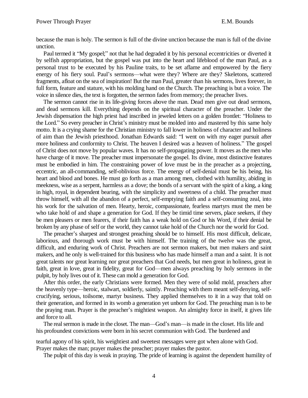because the man is holy. The sermon is full of the divine unction because the man is full of the divine unction.

Paul termed it "My gospel;" not that he had degraded it by his personal eccentricities or diverted it by selfish appropriation, but the gospel was put into the heart and lifeblood of the man Paul, as a personal trust to be executed by his Pauline traits, to be set aflame and empowered by the fiery energy of his fiery soul. Paul's sermons—what were they? Where are they? Skeletons, scattered fragments, afloat on the sea of inspiration! But the man Paul, greater than his sermons, lives forever, in full form, feature and stature, with his molding hand on the Church. The preaching is but a voice. The voice in silence dies, the text is forgotten, the sermon fades from memory; the preacher lives.

The sermon cannot rise in its life-giving forces above the man. Dead men give out dead sermons, and dead sermons kill. Everything depends on the spiritual character of the preacher. Under the Jewish dispensation the high priest had inscribed in jeweled letters on a golden frontlet: "Holiness to the Lord.<sup>"</sup> So every preacher in Christ's ministry must be molded into and mastered by this same holy motto. It is a crying shame for the Christian ministry to fall lower in holiness of character and holiness of aim than the Jewish priesthood. Jonathan Edwards said: ³I went on with my eager pursuit after more holiness and conformity to Christ. The heaven I desired was a heaven of holiness." The gospel of Christ does not move by popular waves. It has no self-propagating power. It moves as the men who have charge of it move. The preacher must impersonate the gospel. Its divine, most distinctive features must be embodied in him. The constraining power of love must be in the preacher as a projecting, eccentric, an all-commanding, self-oblivious force. The energy of self-denial must be his being, his heart and blood and bones. He must go forth as a man among men, clothed with humility, abiding in meekness, wise as a serpent, harmless as a dove; the bonds of a servant with the spirit of a king, a king in high, royal, in dependent bearing, with the simplicity and sweetness of a child. The preacher must throw himself, with all the abandon of a perfect, self-emptying faith and a self-consuming zeal, into his work for the salvation of men. Hearty, heroic, compassionate, fearless martyrs must the men be who take hold of and shape a generation for God. If they be timid time servers, place seekers, if they be men pleasers or men fearers, if their faith has a weak hold on God or his Word, if their denial be broken by any phase of self or the world, they cannot take hold of the Church nor the world for God.

The preacher's sharpest and strongest preaching should be to himself. His most difficult, delicate, laborious, and thorough work must be with himself. The training of the twelve was the great, difficult, and enduring work of Christ. Preachers are not sermon makers, but men makers and saint makers, and he only is well-trained for this business who has made himself a man and a saint. It is not great talents nor great learning nor great preachers that God needs, but men great in holiness, great in faith, great in love, great in fidelity, great for God—men always preaching by holy sermons in the pulpit, by holy lives out of it. These can mold a generation for God.

After this order, the early Christians were formed. Men they were of solid mold, preachers after the heavenly type—heroic, stalwart, soldierly, saintly. Preaching with them meant self-denying, selfcrucifying, serious, toilsome, martyr business. They applied themselves to it in a way that told on their generation, and formed in its womb a generation yet unborn for God. The preaching man is to be the praying man. Prayer is the preacher's mightiest weapon. An almighty force in itself, it gives life and force to all.

The real sermon is made in the closet. The man—God's man—is made in the closet. His life and his profoundest convictions were born in his secret communion with God. The burdened and

tearful agony of his spirit, his weightiest and sweetest messages were got when alone with God. Prayer makes the man; prayer makes the preacher; prayer makes the pastor.

The pulpit of this day is weak in praying. The pride of learning is against the dependent humility of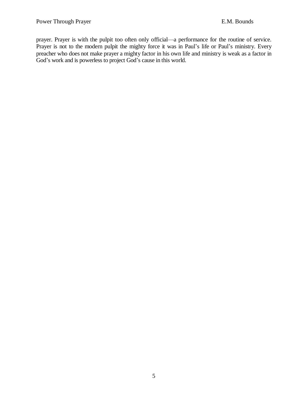prayer. Prayer is with the pulpit too often only official—a performance for the routine of service. Prayer is not to the modern pulpit the mighty force it was in Paul's life or Paul's ministry. Every preacher who does not make prayer a mighty factor in his own life and ministry is weak as a factor in God's work and is powerless to project God's cause in this world.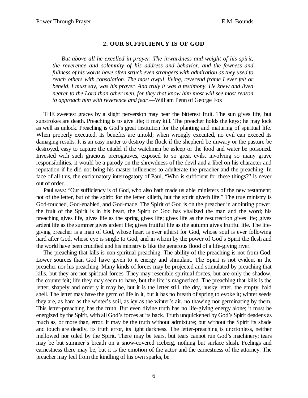#### **2. OUR SUFFICIENCY IS OF GOD**

*But above all he excelled in prayer. The inwardness and weight of his spirit, the reverence and solemnity of his address and behavior, and the fewness and fullness of his words have often struck even strangers with admiration as they used to reach others with consolation. The most awful, living, reverend frame I ever felt or beheld, I must say, was his prayer. And truly it was a testimony. He knew and lived nearer to the Lord than other men, for they that know him most will see most reason* to approach him with reverence and fear.—William Penn of George Fox

THE sweetest graces by a slight perversion may bear the bitterest fruit. The sun gives life, but sunstrokes are death. Preaching is to give life; it may kill. The preacher holds the keys; he may lock as well as unlock. Preaching is God's great institution for the planting and maturing of spiritual life. When properly executed, its benefits are untold; when wrongly executed, no evil can exceed its damaging results. It is an easy matter to destroy the flock if the shepherd be unwary or the pasture be destroyed, easy to capture the citadel if the watchmen be asleep or the food and water be poisoned. Invested with such gracious prerogatives, exposed to so great evils, involving so many grave responsibilities, it would be a parody on the shrewdness of the devil and a libel on his character and reputation if he did not bring his master influences to adulterate the preacher and the preaching. In face of all this, the exclamatory interrogatory of Paul, "Who is sufficient for these things?" is never out of order.

Paul says: "Our sufficiency is of God, who also hath made us able ministers of the new testament; not of the letter, but of the spirit: for the letter killeth, but the spirit giveth life." The true ministry is God-touched, God-enabled, and God-made. The Spirit of God is on the preacher in anointing power, the fruit of the Spirit is in his heart, the Spirit of God has vitalized the man and the word; his preaching gives life, gives life as the spring gives life; gives life as the resurrection gives life; gives ardent life as the summer gives ardent life; gives fruitful life as the autumn gives fruitful life. The lifegiving preacher is a man of God, whose heart is ever athirst for God, whose soul is ever following hard after God, whose eye is single to God, and in whom by the power of God's Spirit the flesh and the world have been crucified and his ministry is like the generous flood of a life-giving river.

The preaching that kills is non-spiritual preaching. The ability of the preaching is not from God. Lower sources than God have given to it energy and stimulant. The Spirit is not evident in the preacher nor his preaching. Many kinds of forces may be projected and stimulated by preaching that kills, but they are not spiritual forces. They may resemble spiritual forces, but are only the shadow, the counterfeit; life they may seem to have, but the life is magnetized. The preaching that kills is the letter; shapely and orderly it may be, but it is the letter still, the dry, husky letter, the empty, bald shell. The letter may have the germ of life in it, but it has no breath of spring to evoke it; winter seeds they are, as hard as the winter's soil, as icy as the winter's air, no thawing nor germinating by them. This letter-preaching has the truth. But even divine truth has no life-giving energy alone; it must be energized by the Spirit, with all God's forces at its back. Truth unquickened by God's Spirit deadens as much as, or more than, error. It may be the truth without admixture; but without the Spirit its shade and touch are deadly, its truth error, its light darkness. The letter-preaching is unctionless, neither mellowed nor oiled by the Spirit. There may be tears, but tears cannot run God's machinery; tears may be but summer's breath on a snow-covered iceberg, nothing but surface slush. Feelings and earnestness there may be, but it is the emotion of the actor and the earnestness of the attorney. The preacher may feel from the kindling of his own sparks, be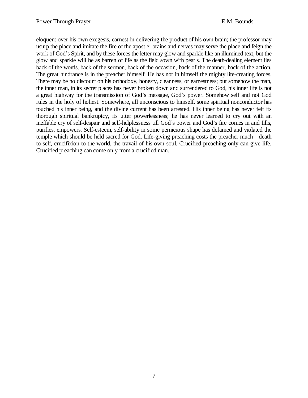eloquent over his own exegesis, earnest in delivering the product of his own brain; the professor may usurp the place and imitate the fire of the apostle; brains and nerves may serve the place and feign the work of God's Spirit, and by these forces the letter may glow and sparkle like an illumined text, but the glow and sparkle will be as barren of life as the field sown with pearls. The death-dealing element lies back of the words, back of the sermon, back of the occasion, back of the manner, back of the action. The great hindrance is in the preacher himself. He has not in himself the mighty life-creating forces. There may be no discount on his orthodoxy, honesty, cleanness, or earnestness; but somehow the man, the inner man, in its secret places has never broken down and surrendered to God, his inner life is not a great highway for the transmission of God's message, God's power. Somehow self and not God rules in the holy of holiest. Somewhere, all unconscious to himself, some spiritual nonconductor has touched his inner being, and the divine current has been arrested. His inner being has never felt its thorough spiritual bankruptcy, its utter powerlessness; he has never learned to cry out with an ineffable cry of self-despair and self-helplessness till God's power and God's fire comes in and fills, purifies, empowers. Self-esteem, self-ability in some pernicious shape has defamed and violated the temple which should be held sacred for God. Life-giving preaching costs the preacher much—death to self, crucifixion to the world, the travail of his own soul. Crucified preaching only can give life. Crucified preaching can come only from a crucified man.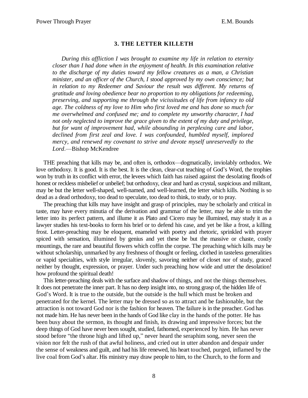#### **3. THE LETTER KILLETH**

*During this affliction I was brought to examine my life in relation to eternity closer than I had done when in the enjoyment of health. In this examination relative to the discharge of my duties toward my fellow creatures as a man, a Christian minister, and an officer of the Church, I stood approved by my own conscience; but in relation to my Redeemer and Saviour the result was different. My returns of gratitude and loving obedience bear no proportion to my obligations for redeeming, preserving, and supporting me through the vicissitudes of life from infancy to old age. The coldness of my love to Him who first loved me and has done so much for me overwhelmed and confused me; and to complete my unworthy character, I had not only neglected to improve the grace given to the extent of my duty and privilege, but for want of improvement had, while abounding in perplexing care and labor, declined from first zeal and love. I was confounded, humbled myself, implored mercy, and renewed my covenant to strive and devote myself unreservedly to the* Lord.—Bishop McKendree

THE preaching that kills may be, and often is, orthodox—dogmatically, inviolably orthodox. We love orthodoxy. It is good. It is the best. It is the clean, clear-cut teaching of God's Word, the trophies won by truth in its conflict with error, the levees which faith has raised against the desolating floods of honest or reckless misbelief or unbelief; but orthodoxy, clear and hard as crystal, suspicious and militant, may be but the letter well-shaped, well-named, and well-learned, the letter which kills. Nothing is so dead as a dead orthodoxy, too dead to speculate, too dead to think, to study, or to pray.

The preaching that kills may have insight and grasp of principles, may be scholarly and critical in taste, may have every minutia of the derivation and grammar of the letter, may be able to trim the letter into its perfect pattern, and illume it as Plato and Cicero may be illumined, may study it as a lawyer studies his text-books to form his brief or to defend his case, and yet be like a frost, a killing frost. Letter-preaching may be eloquent, enameled with poetry and rhetoric, sprinkled with prayer spiced with sensation, illumined by genius and yet these be but the massive or chaste, costly mountings, the rare and beautiful flowers which coffin the corpse. The preaching which kills may be without scholarship, unmarked by any freshness of thought or feeling, clothed in tasteless generalities or vapid specialties, with style irregular, slovenly, savoring neither of closet nor of study, graced neither by thought, expression, or prayer. Under such preaching how wide and utter the desolation! how profound the spiritual death!

This letter-preaching deals with the surface and shadow of things, and not the things themselves. It does not penetrate the inner part. It has no deep insight into, no strong grasp of, the hidden life of God's Word. It is true to the outside, but the outside is the hull which must be broken and penetrated for the kernel. The letter may be dressed so as to attract and be fashionable, but the attraction is not toward God nor is the fashion for heaven. The failure is in the preacher. God has not made him. He has never been in the hands of God like clay in the hands of the potter. He has been busy about the sermon, its thought and finish, its drawing and impressive forces; but the deep things of God have never been sought, studied, fathomed, experienced by him. He has never stood before "the throne high and lifted up," never heard the seraphim song, never seen the vision nor felt the rush of that awful holiness, and cried out in utter abandon and despair under the sense of weakness and guilt, and had his life renewed, his heart touched, purged, inflamed by the live coal from God's altar. His ministry may draw people to him, to the Church, to the form and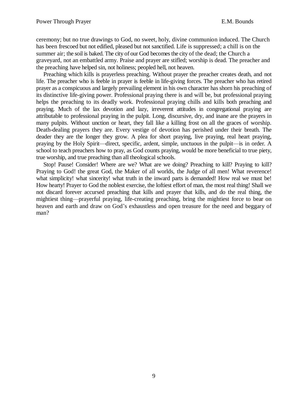ceremony; but no true drawings to God, no sweet, holy, divine communion induced. The Church has been frescoed but not edified, pleased but not sanctified. Life is suppressed; a chill is on the summer air; the soil is baked. The city of our God becomes the city of the dead; the Church a graveyard, not an embattled army. Praise and prayer are stifled; worship is dead. The preacher and the preaching have helped sin, not holiness; peopled hell, not heaven.

Preaching which kills is prayerless preaching. Without prayer the preacher creates death, and not life. The preacher who is feeble in prayer is feeble in life-giving forces. The preacher who has retired prayer as a conspicuous and largely prevailing element in his own character has shorn his preaching of its distinctive life-giving power. Professional praying there is and will be, but professional praying helps the preaching to its deadly work. Professional praying chills and kills both preaching and praying. Much of the lax devotion and lazy, irreverent attitudes in congregational praying are attributable to professional praying in the pulpit. Long, discursive, dry, and inane are the prayers in many pulpits. Without unction or heart, they fall like a killing frost on all the graces of worship. Death-dealing prayers they are. Every vestige of devotion has perished under their breath. The deader they are the longer they grow. A plea for short praying, live praying, real heart praying, praying by the Holy Spirit—direct, specific, ardent, simple, unctuous in the pulpit—is in order. A school to teach preachers how to pray, as God counts praying, would be more beneficial to true piety, true worship, and true preaching than all theological schools.

Stop! Pause! Consider! Where are we? What are we doing? Preaching to kill? Praying to kill? Praying to God! the great God, the Maker of all worlds, the Judge of all men! What reverence! what simplicity! what sincerity! what truth in the inward parts is demanded! How real we must be! How hearty! Prayer to God the noblest exercise, the loftiest effort of man, the most real thing! Shall we not discard forever accursed preaching that kills and prayer that kills, and do the real thing, the mightiest thing—prayerful praying, life-creating preaching, bring the mightiest force to bear on heaven and earth and draw on God's exhaustless and open treasure for the need and beggary of man?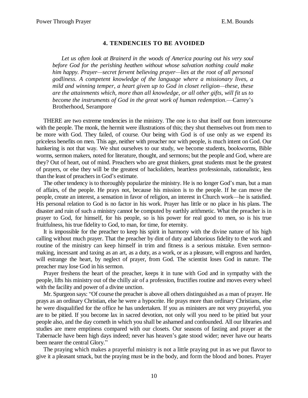# **4. TENDENCIES TO BE AVOIDED**

*Let us often look at Brainerd in the woods of America pouring out his very soul before God for the perishing heathen without whose salvation nothing could make him happy. Prayer²secret fervent believing prayer²lies at the root of all personal godliness. A competent knowledge of the language where a missionary lives, a mild and winning temper, a heart given up to God in closet religion—these, these are the attainments which, more than all knowledge, or all other gifts, will fit us to become the instruments of God in the great work of human redemption*—Carrey's Brotherhood, Serampore

THERE are two extreme tendencies in the ministry. The one is to shut itself out from intercourse with the people. The monk, the hermit were illustrations of this; they shut themselves out from men to be more with God. They failed, of course. Our being with God is of use only as we expend its priceless benefits on men. This age, neither with preacher nor with people, is much intent on God. Our hankering is not that way. We shut ourselves to our study, we become students, bookworms, Bible worms, sermon makers, noted for literature, thought, and sermons; but the people and God, where are they? Out of heart, out of mind. Preachers who are great thinkers, great students must be the greatest of prayers, or else they will be the greatest of backsliders, heartless professionals, rationalistic, less than the least of preachers in God's estimate.

The other tendency is to thoroughly popularize the ministry. He is no longer God's man, but a man of affairs, of the people. He prays not, because his mission is to the people. If he can move the people, create an interest, a sensation in favor of religion, an interest in Church work—he is satisfied. His personal relation to God is no factor in his work. Prayer has little or no place in his plans. The disaster and ruin of such a ministry cannot be computed by earthly arithmetic. What the preacher is in prayer to God, for himself, for his people, so is his power for real good to men, so is his true fruitfulness, his true fidelity to God, to man, for time, for eternity.

It is impossible for the preacher to keep his spirit in harmony with the divine nature of his high calling without much prayer. That the preacher by dint of duty and laborious fidelity to the work and routine of the ministry can keep himself in trim and fitness is a serious mistake. Even sermonmaking, incessant and taxing as an art, as a duty, as a work, or as a pleasure, will engross and harden, will estrange the heart, by neglect of prayer, from God. The scientist loses God in nature. The preacher may lose God in his sermon.

Prayer freshens the heart of the preacher, keeps it in tune with God and in sympathy with the people, lifts his ministry out of the chilly air of a profession, fructifies routine and moves every wheel with the facility and power of a divine unction.

Mr. Spurgeon says: "Of course the preacher is above all others distinguished as a man of prayer. He prays as an ordinary Christian, else he were a hypocrite. He prays more than ordinary Christians, else he were disqualified for the office he has undertaken. If you as ministers are not very prayerful, you are to be pitied. If you become lax in sacred devotion, not only will you need to be pitied but your people also, and the day cometh in which you shall be ashamed and confounded. All our libraries and studies are mere emptiness compared with our closets. Our seasons of fasting and prayer at the Tabernacle have been high days indeed; never has heaven's gate stood wider; never have our hearts been nearer the central Glory."

The praying which makes a prayerful ministry is not a little praying put in as we put flavor to give it a pleasant smack, but the praying must be in the body, and form the blood and bones. Prayer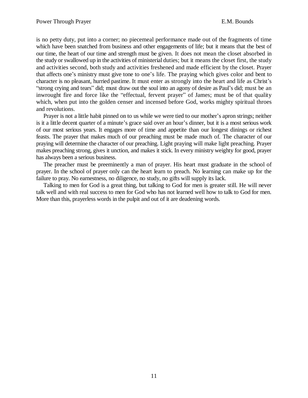is no petty duty, put into a corner; no piecemeal performance made out of the fragments of time which have been snatched from business and other engagements of life; but it means that the best of our time, the heart of our time and strength must be given. It does not mean the closet absorbed in the study or swallowed up in the activities of ministerial duties; but it means the closet first, the study and activities second, both study and activities freshened and made efficient by the closet. Prayer that affects one's ministry must give tone to one's life. The praying which gives color and bent to character is no pleasant, hurried pastime. It must enter as strongly into the heart and life as Christ's "strong crying and tears" did; must draw out the soul into an agony of desire as Paul's did; must be an inwrought fire and force like the "effectual, fervent prayer" of James; must be of that quality which, when put into the golden censer and incensed before God, works mighty spiritual throes and revolutions.

Prayer is not a little habit pinned on to us while we were tied to our mother's apron strings; neither is it a little decent quarter of a minute's grace said over an hour's dinner, but it is a most serious work of our most serious years. It engages more of time and appetite than our longest dinings or richest feasts. The prayer that makes much of our preaching must be made much of. The character of our praying will determine the character of our preaching. Light praying will make light preaching. Prayer makes preaching strong, gives it unction, and makes it stick. In every ministry weighty for good, prayer has always been a serious business.

The preacher must be preeminently a man of prayer. His heart must graduate in the school of prayer. In the school of prayer only can the heart learn to preach. No learning can make up for the failure to pray. No earnestness, no diligence, no study, no gifts will supply its lack.

Talking to men for God is a great thing, but talking to God for men is greater still. He will never talk well and with real success to men for God who has not learned well how to talk to God for men. More than this, prayerless words in the pulpit and out of it are deadening words.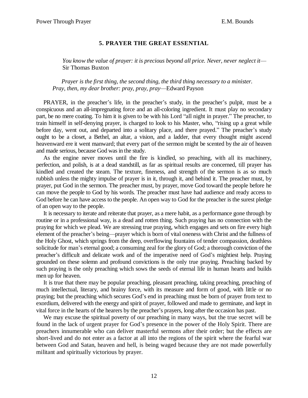# **5. PRAYER THE GREAT ESSENTIAL**

*You know the value of prayer: it is precious beyond all price. Never, never neglect it*— Sir Thomas Buxton

*Prayer is the first thing, the second thing, the third thing necessary to a minister. Pray, then, my dear brother: pray, pray, pray*—Edward Payson

PRAYER, in the preacher's life, in the preacher's study, in the preacher's pulpit, must be a conspicuous and an all-impregnating force and an all-coloring ingredient. It must play no secondary part, be no mere coating. To him it is given to be with his Lord "all night in prayer." The preacher, to train himself in self-denying prayer, is charged to look to his Master, who, "rising up a great while before day, went out, and departed into a solitary place, and there prayed." The preacher's study ought to be a closet, a Bethel, an altar, a vision, and a ladder, that every thought might ascend heavenward ere it went manward; that every part of the sermon might be scented by the air of heaven and made serious, because God was in the study.

As the engine never moves until the fire is kindled, so preaching, with all its machinery, perfection, and polish, is at a dead standstill, as far as spiritual results are concerned, till prayer has kindled and created the steam. The texture, fineness, and strength of the sermon is as so much rubbish unless the mighty impulse of prayer is in it, through it, and behind it. The preacher must, by prayer, put God in the sermon. The preacher must, by prayer, move God toward the people before he can move the people to God by his words. The preacher must have had audience and ready access to God before he can have access to the people. An open way to God for the preacher is the surest pledge of an open way to the people.

It is necessary to iterate and reiterate that prayer, as a mere habit, as a performance gone through by routine or in a professional way, is a dead and rotten thing. Such praying has no connection with the praying for which we plead. We are stressing true praying, which engages and sets on fire every high element of the preacher's being—prayer which is born of vital oneness with Christ and the fullness of the Holy Ghost, which springs from the deep, overflowing fountains of tender compassion, deathless solicitude for man's eternal good; a consuming zeal for the glory of God; a thorough conviction of the preacher's difficult and delicate work and of the imperative need of God's mightiest help. Praying grounded on these solemn and profound convictions is the only true praying. Preaching backed by such praying is the only preaching which sows the seeds of eternal life in human hearts and builds men up for heaven.

It is true that there may be popular preaching, pleasant preaching, taking preaching, preaching of much intellectual, literary, and brainy force, with its measure and form of good, with little or no praying; but the preaching which secures God's end in preaching must be born of prayer from text to exordium, delivered with the energy and spirit of prayer, followed and made to germinate, and kept in vital force in the hearts of the hearers by the preacher's prayers, long after the occasion has past.

We may excuse the spiritual poverty of our preaching in many ways, but the true secret will be found in the lack of urgent prayer for God's presence in the power of the Holy Spirit. There are preachers innumerable who can deliver masterful sermons after their order; but the effects are short-lived and do not enter as a factor at all into the regions of the spirit where the fearful war between God and Satan, heaven and hell, is being waged because they are not made powerfully militant and spiritually victorious by prayer.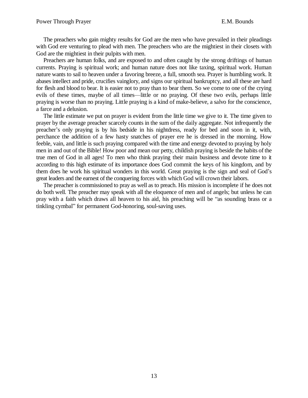The preachers who gain mighty results for God are the men who have prevailed in their pleadings with God ere venturing to plead with men. The preachers who are the mightiest in their closets with God are the mightiest in their pulpits with men.

Preachers are human folks, and are exposed to and often caught by the strong driftings of human currents. Praying is spiritual work; and human nature does not like taxing, spiritual work. Human nature wants to sail to heaven under a favoring breeze, a full, smooth sea. Prayer is humbling work. It abases intellect and pride, crucifies vainglory, and signs our spiritual bankruptcy, and all these are hard for flesh and blood to bear. It is easier not to pray than to bear them. So we come to one of the crying evils of these times, maybe of all times—little or no praying. Of these two evils, perhaps little praying is worse than no praying. Little praying is a kind of make-believe, a salvo for the conscience, a farce and a delusion.

The little estimate we put on prayer is evident from the little time we give to it. The time given to prayer by the average preacher scarcely counts in the sum of the daily aggregate. Not infrequently the preacher's only praying is by his bedside in his nightdress, ready for bed and soon in it, with, perchance the addition of a few hasty snatches of prayer ere he is dressed in the morning. How feeble, vain, and little is such praying compared with the time and energy devoted to praying by holy men in and out of the Bible! How poor and mean our petty, childish praying is beside the habits of the true men of God in all ages! To men who think praying their main business and devote time to it according to this high estimate of its importance does God commit the keys of his kingdom, and by them does he work his spiritual wonders in this world. Great praying is the sign and seal of God's great leaders and the earnest of the conquering forces with which God will crown their labors.

The preacher is commissioned to pray as well as to preach. His mission is incomplete if he does not do both well. The preacher may speak with all the eloquence of men and of angels; but unless he can pray with a faith which draws all heaven to his aid, his preaching will be "as sounding brass or a tinkling cymbal" for permanent God-honoring, soul-saving uses.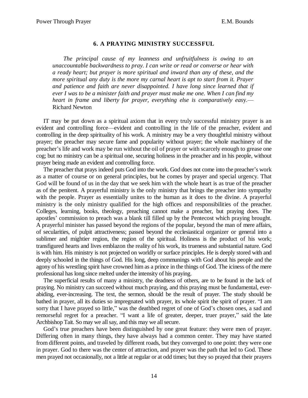#### **6. A PRAYING MINISTRY SUCCESSFUL**

*The principal cause of my leanness and unfruitfulness is owing to an unaccountable backwardness to pray. I can write or read or converse or hear with a ready heart; but prayer is more spiritual and inward than any of these, and the more spiritual any duty is the more my carnal heart is apt to start from it. Prayer and patience and faith are never disappointed. I have long since learned that if ever I was to be a minister faith and prayer must make me one. When I can find my heart in frame and liberty for prayer, everything else is comparatively easy.* Richard Newton

IT may be put down as a spiritual axiom that in every truly successful ministry prayer is an evident and controlling force—evident and controlling in the life of the preacher, evident and controlling in the deep spirituality of his work. A ministry may be a very thoughtful ministry without prayer; the preacher may secure fame and popularity without prayer; the whole machinery of the preacher's life and work may be run without the oil of prayer or with scarcely enough to grease one cog; but no ministry can be a spiritual one, securing holiness in the preacher and in his people, without prayer being made an evident and controlling force.

The preacher that prays indeed puts God into the work. God does not come into the preacher's work as a matter of course or on general principles, but he comes by prayer and special urgency. That God will be found of us in the day that we seek him with the whole heart is as true of the preacher as of the penitent. A prayerful ministry is the only ministry that brings the preacher into sympathy with the people. Prayer as essentially unites to the human as it does to the divine. A prayerful ministry is the only ministry qualified for the high offices and responsibilities of the preacher. Colleges, learning, books, theology, preaching cannot make a preacher, but praying does. The apostles' commission to preach was a blank till filled up by the Pentecost which praying brought. A prayerful minister has passed beyond the regions of the popular, beyond the man of mere affairs, of secularities, of pulpit attractiveness; passed beyond the ecclesiastical organizer or general into a sublimer and mightier region, the region of the spiritual. Holiness is the product of his work; transfigured hearts and lives emblazon the reality of his work, its trueness and substantial nature. God is with him. His ministry is not projected on worldly or surface principles. He is deeply stored with and deeply schooled in the things of God. His long, deep communings with God about his people and the agony of his wrestling spirit have crowned him as a prince in the things of God. The iciness of the mere professional has long since melted under the intensity of his praying.

The superficial results of many a ministry, the deadness of others, are to be found in the lack of praying. No ministry can succeed without much praying, and this praying must be fundamental, everabiding, ever-increasing. The text, the sermon, should be the result of prayer. The study should be bathed in prayer, all its duties so impregnated with prayer, its whole spirit the spirit of prayer. "I am sorry that I have prayed so little," was the deathbed regret of one of God's chosen ones, a sad and remorseful regret for a preacher. "I want a life of greater, deeper, truer prayer," said the late Archbishop Tait. So may we all say, and this may we all secure.

God's true preachers have been distinguished by one great feature: they were men of prayer. Differing often in many things, they have always had a common center. They may have started from different points, and traveled by different roads, but they converged to one point: they were one in prayer. God to there was the center of attraction, and prayer was the path that led to God. These men prayed not occasionally, not a little at regular or at odd times; but they so prayed that their prayers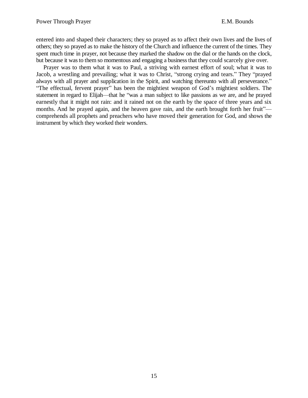entered into and shaped their characters; they so prayed as to affect their own lives and the lives of others; they so prayed as to make the history of the Church and influence the current of the times. They spent much time in prayer, not because they marked the shadow on the dial or the hands on the clock, but because it was to them so momentous and engaging a business that they could scarcely give over.

Prayer was to them what it was to Paul, a striving with earnest effort of soul; what it was to Jacob, a wrestling and prevailing; what it was to Christ, "strong crying and tears." They "prayed always with all prayer and supplication in the Spirit, and watching thereunto with all perseverance.<sup>"</sup> "The effectual, fervent prayer" has been the mightiest weapon of God's mightiest soldiers. The statement in regard to Elijah—that he "was a man subject to like passions as we are, and he prayed earnestly that it might not rain: and it rained not on the earth by the space of three years and six months. And he prayed again, and the heaven gave rain, and the earth brought forth her fruit" comprehends all prophets and preachers who have moved their generation for God, and shows the instrument by which they worked their wonders.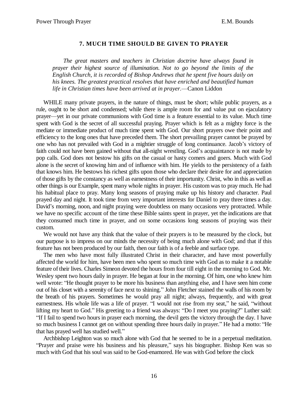# **7. MUCH TIME SHOULD BE GIVEN TO PRAYER**

*The great masters and teachers in Christian doctrine have always found in prayer their highest source of illumination. Not to go beyond the limits of the English Church, it is recorded of Bishop Andrews that he spent five hours daily on his knees. The greatest practical resolves that have enriched and beautified human* life in Christian times have been arrived at in prayer.—Canon Liddon

WHILE many private prayers, in the nature of things, must be short; while public prayers, as a rule, ought to be short and condensed; while there is ample room for and value put on ejaculatory prayer—yet in our private communions with God time is a feature essential to its value. Much time spent with God is the secret of all successful praying. Prayer which is felt as a mighty force is the mediate or immediate product of much time spent with God. Our short prayers owe their point and efficiency to the long ones that have preceded them. The short prevailing prayer cannot be prayed by one who has not prevailed with God in a mightier struggle of long continuance. Jacob's victory of faith could not have been gained without that all-night wrestling. God's acquaintance is not made by pop calls. God does not bestow his gifts on the casual or hasty comers and goers. Much with God alone is the secret of knowing him and of influence with him. He yields to the persistency of a faith that knows him. He bestows his richest gifts upon those who declare their desire for and appreciation of those gifts by the constancy as well as earnestness of their importunity. Christ, who in this as well as other things is our Example, spent many whole nights in prayer. His custom was to pray much. He had his habitual place to pray. Many long seasons of praying make up his history and character. Paul prayed day and night. It took time from very important interests for Daniel to pray three times a day. David's morning, noon, and night praying were doubtless on many occasions very protracted. While we have no specific account of the time these Bible saints spent in prayer, yet the indications are that they consumed much time in prayer, and on some occasions long seasons of praying was their custom.

We would not have any think that the value of their prayers is to be measured by the clock, but our purpose is to impress on our minds the necessity of being much alone with God; and that if this feature has not been produced by our faith, then our faith is of a feeble and surface type.

The men who have most fully illustrated Christ in their character, and have most powerfully affected the world for him, have been men who spent so much time with God as to make it a notable feature of their lives. Charles Simeon devoted the hours from four till eight in the morning to God. Mr. Wesley spent two hours daily in prayer. He began at four in the morning. Of him, one who knew him well wrote: "He thought prayer to be more his business than anything else, and I have seen him come out of his closet with a serenity of face next to shining." John Fletcher stained the walls of his room by the breath of his prayers. Sometimes he would pray all night; always, frequently, and with great earnestness. His whole life was a life of prayer. "I would not rise from my seat," he said, "without lifting my heart to God." His greeting to a friend was always: "Do I meet you praying?" Luther said: ³If I fail to spend two hours in prayer each morning, the devil gets the victory through the day. I have so much business I cannot get on without spending three hours daily in prayer." He had a motto: "He that has prayed well has studied well.´

Archbishop Leighton was so much alone with God that he seemed to be in a perpetual meditation. "Prayer and praise were his business and his pleasure," says his biographer. Bishop Ken was so much with God that his soul was said to be God-enamored. He was with God before the clock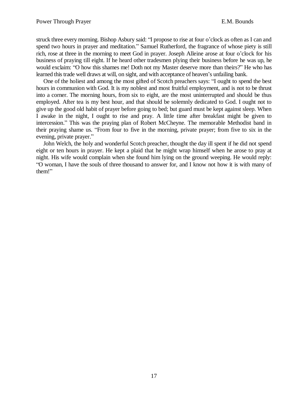struck three every morning. Bishop Asbury said: "I propose to rise at four o'clock as often as I can and spend two hours in prayer and meditation." Samuel Rutherford, the fragrance of whose piety is still rich, rose at three in the morning to meet God in prayer. Joseph Alleine arose at four o'clock for his business of praying till eight. If he heard other tradesmen plying their business before he was up, he would exclaim: "O how this shames me! Doth not my Master deserve more than theirs?" He who has learned this trade well draws at will, on sight, and with acceptance of heaven's unfailing bank.

One of the holiest and among the most gifted of Scotch preachers says: "I ought to spend the best hours in communion with God. It is my noblest and most fruitful employment, and is not to be thrust into a corner. The morning hours, from six to eight, are the most uninterrupted and should be thus employed. After tea is my best hour, and that should be solemnly dedicated to God. I ought not to give up the good old habit of prayer before going to bed; but guard must be kept against sleep. When I awake in the night, I ought to rise and pray. A little time after breakfast might be given to intercession.<sup>"</sup> This was the praying plan of Robert McCheyne. The memorable Methodist band in their praying shame us. "From four to five in the morning, private prayer; from five to six in the evening, private prayer."

John Welch, the holy and wonderful Scotch preacher, thought the day ill spent if he did not spend eight or ten hours in prayer. He kept a plaid that he might wrap himself when he arose to pray at night. His wife would complain when she found him lying on the ground weeping. He would reply: ³O woman, I have the souls of three thousand to answer for, and I know not how it is with many of them!"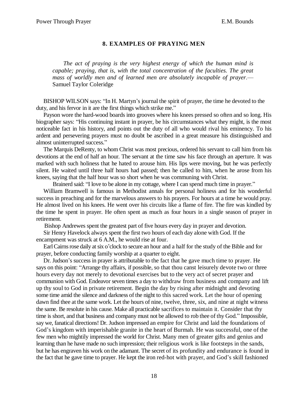# **8. EXAMPLES OF PRAYING MEN**

*The act of praying is the very highest energy of which the human mind is capable; praying, that is, with the total concentration of the faculties. The great mass of worldly men and of learned men are absolutely incapable of prayer.*— Samuel Taylor Coleridge

BISHOP WILSON says: "In H. Martyn's journal the spirit of prayer, the time he devoted to the duty, and his fervor in it are the first things which strike me."

Payson wore the hard-wood boards into grooves where his knees pressed so often and so long. His biographer says: "His continuing instant in prayer, be his circumstances what they might, is the most noticeable fact in his history, and points out the duty of all who would rival his eminency. To his ardent and persevering prayers must no doubt be ascribed in a great measure his distinguished and almost uninterrupted success.´

The Marquis DeRenty, to whom Christ was most precious, ordered his servant to call him from his devotions at the end of half an hour. The servant at the time saw his face through an aperture. It was marked with such holiness that he hated to arouse him. His lips were moving, but he was perfectly silent. He waited until three half hours had passed; then he called to him, when he arose from his knees, saying that the half hour was so short when he was communing with Christ.

Brainerd said: "I love to be alone in my cottage, where I can spend much time in prayer."

William Bramwell is famous in Methodist annals for personal holiness and for his wonderful success in preaching and for the marvelous answers to his prayers. For hours at a time he would pray. He almost lived on his knees. He went over his circuits like a flame of fire. The fire was kindled by the time he spent in prayer. He often spent as much as four hours in a single season of prayer in retirement.

Bishop Andrewes spent the greatest part of five hours every day in prayer and devotion.

Sir Henry Havelock always spent the first two hours of each day alone with God. If the encampment was struck at 6 A.M., he would rise at four.

Earl Cairns rose daily at six o'clock to secure an hour and a half for the study of the Bible and for prayer, before conducting family worship at a quarter to eight.

Dr. Judson's success in prayer is attributable to the fact that he gave much time to prayer. He says on this point: "Arrange thy affairs, if possible, so that thou canst leisurely devote two or three hours every day not merely to devotional exercises but to the very act of secret prayer and communion with God. Endeavor seven times a day to withdraw from business and company and lift up thy soul to God in private retirement. Begin the day by rising after midnight and devoting some time amid the silence and darkness of the night to this sacred work. Let the hour of opening dawn find thee at the same work. Let the hours of nine, twelve, three, six, and nine at night witness the same. Be resolute in his cause. Make all practicable sacrifices to maintain it. Consider that thy time is short, and that business and company must not be allowed to rob thee of thy God.<sup>\*</sup> Impossible, say we, fanatical directions! Dr. Judson impressed an empire for Christ and laid the foundations of God's kingdom with imperishable granite in the heart of Burmah. He was successful, one of the few men who mightily impressed the world for Christ. Many men of greater gifts and genius and learning than he have made no such impression; their religious work is like footsteps in the sands, but he has engraven his work on the adamant. The secret of its profundity and endurance is found in the fact that he gave time to prayer. He kept the iron red-hot with prayer, and God's skill fashioned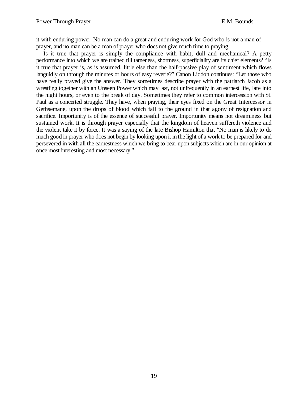it with enduring power. No man can do a great and enduring work for God who is not a man of prayer, and no man can be a man of prayer who does not give much time to praying.

Is it true that prayer is simply the compliance with habit, dull and mechanical? A petty performance into which we are trained till tameness, shortness, superficiality are its chief elements? "Is it true that prayer is, as is assumed, little else than the half-passive play of sentiment which flows languidly on through the minutes or hours of easy reverie?" Canon Liddon continues: "Let those who have really prayed give the answer. They sometimes describe prayer with the patriarch Jacob as a wrestling together with an Unseen Power which may last, not unfrequently in an earnest life, late into the night hours, or even to the break of day. Sometimes they refer to common intercession with St. Paul as a concerted struggle. They have, when praying, their eyes fixed on the Great Intercessor in Gethsemane, upon the drops of blood which fall to the ground in that agony of resignation and sacrifice. Importunity is of the essence of successful prayer. Importunity means not dreaminess but sustained work. It is through prayer especially that the kingdom of heaven suffereth violence and the violent take it by force. It was a saying of the late Bishop Hamilton that "No man is likely to do much good in prayer who does not begin by looking upon it in the light of a work to be prepared for and persevered in with all the earnestness which we bring to bear upon subjects which are in our opinion at once most interesting and most necessary.´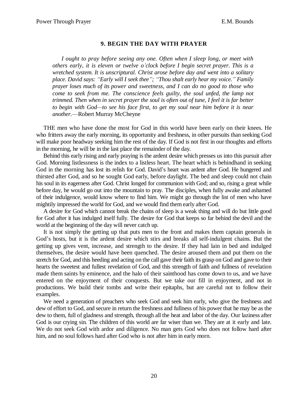# **9. BEGIN THE DAY WITH PRAYER**

*I ought to pray before seeing any one. Often when I sleep long, or meet with others early, it is eleven or twelve o¶clock before I begin secret prayer. This is a wretched system. It is unscriptural. Christ arose before day and went into a solitary place. David says: ³Early will I seek thee´; ³Thou shalt early hear my voice.´ Family prayer loses much of its power and sweetness, and I can do no good to those who come to seek from me. The conscience feels guilty, the soul unfed, the lamp not trimmed. Then when in secret prayer the soul is often out of tune, I feel it is far better to begin with God²to see his face first, to get my soul near him before it is near another.*—Robert Murray McCheyne

THE men who have done the most for God in this world have been early on their knees. He who fritters away the early morning, its opportunity and freshness, in other pursuits than seeking God will make poor headway seeking him the rest of the day. If God is not first in our thoughts and efforts in the morning, he will be in the last place the remainder of the day.

Behind this early rising and early praying is the ardent desire which presses us into this pursuit after God. Morning listlessness is the index to a listless heart. The heart which is behindhand in seeking God in the morning has lost its relish for God. David's heart was ardent after God. He hungered and thirsted after God, and so he sought God early, before daylight. The bed and sleep could not chain his soul in its eagerness after God. Christ longed for communion with God; and so, rising a great while before day, he would go out into the mountain to pray. The disciples, when fully awake and ashamed of their indulgence, would know where to find him. We might go through the list of men who have mightily impressed the world for God, and we would find them early after God.

A desire for God which cannot break the chains of sleep is a weak thing and will do but little good for God after it has indulged itself fully. The desire for God that keeps so far behind the devil and the world at the beginning of the day will never catch up.

It is not simply the getting up that puts men to the front and makes them captain generals in God's hosts, but it is the ardent desire which stirs and breaks all self-indulgent chains. But the getting up gives vent, increase, and strength to the desire. If they had lain in bed and indulged themselves, the desire would have been quenched. The desire aroused them and put them on the stretch for God, and this heeding and acting on the call gave their faith its grasp on God and gave to their hearts the sweetest and fullest revelation of God, and this strength of faith and fullness of revelation made them saints by eminence, and the halo of their sainthood has come down to us, and we have entered on the enjoyment of their conquests. But we take our fill in enjoyment, and not in productions. We build their tombs and write their epitaphs, but are careful not to follow their examples.

We need a generation of preachers who seek God and seek him early, who give the freshness and dew of effort to God, and secure in return the freshness and fullness of his power that he may be as the dew to them, full of gladness and strength, through all the heat and labor of the day. Our laziness after God is our crying sin. The children of this world are far wiser than we. They are at it early and late. We do not seek God with ardor and diligence. No man gets God who does not follow hard after him, and no soul follows hard after God who is not after him in early morn.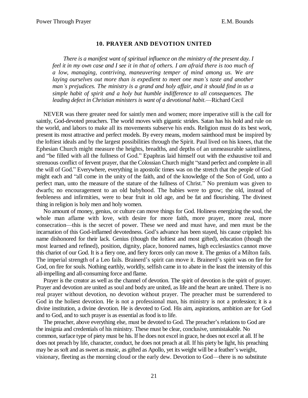# **10. PRAYER AND DEVOTION UNITED**

*There is a manifest want of spiritual influence on the ministry of the present day. I feel it in my own case and I see it in that of others. I am afraid there is too much of a low, managing, contriving, maneuvering temper of mind among us. We are laying ourselves out more than is expedient to meet one man¶s taste and another man¶s prejudices. The ministry is a grand and holy affair, and it should find in us a simple habit of spirit and a holy but humble indifference to all consequences. The leading defect in Christian ministers is want of a devotional habit*—Richard Cecil

NEVER was there greater need for saintly men and women; more imperative still is the call for saintly, God-devoted preachers. The world moves with gigantic strides. Satan has his hold and rule on the world, and labors to make all its movements subserve his ends. Religion must do its best work, present its most attractive and perfect models. By every means, modern sainthood must be inspired by the loftiest ideals and by the largest possibilities through the Spirit. Paul lived on his knees, that the Ephesian Church might measure the heights, breadths, and depths of an unmeasurable saintliness, and "be filled with all the fullness of God." Epaphras laid himself out with the exhaustive toil and strenuous conflict of fervent prayer, that the Colossian Church might "stand perfect and complete in all the will of God.´ Everywhere, everything in apostolic times was on the stretch that the people of God might each and "all come in the unity of the faith, and of the knowledge of the Son of God, unto a perfect man, unto the measure of the stature of the fullness of Christ.´ No premium was given to dwarfs; no encouragement to an old babyhood. The babies were to grow; the old, instead of feebleness and infirmities, were to bear fruit in old age, and be fat and flourishing. The divinest thing in religion is holy men and holy women.

No amount of money, genius, or culture can move things for God. Holiness energizing the soul, the whole man aflame with love, with desire for more faith, more prayer, more zeal, more consecration—this is the secret of power. These we need and must have, and men must be the incarnation of this God-inflamed devotedness. God's advance has been stayed, his cause crippled: his name dishonored for their lack. Genius (though the loftiest and most gifted), education (though the most learned and refined), position, dignity, place, honored names, high ecclesiastics cannot move this chariot of our God. It is a fiery one, and fiery forces only can move it. The genius of a Milton fails. The imperial strength of a Leo fails. Brainerd's spirit can move it. Brainerd's spirit was on fire for God, on fire for souls. Nothing earthly, worldly, selfish came in to abate in the least the intensity of this all-impelling and all-consuming force and flame.

Prayer is the creator as well as the channel of devotion. The spirit of devotion is the spirit of prayer. Prayer and devotion are united as soul and body are united, as life and the heart are united. There is no real prayer without devotion, no devotion without prayer. The preacher must be surrendered to God in the holiest devotion. He is not a professional man, his ministry is not a profession; it is a divine institution, a divine devotion. He is devoted to God. His aim, aspirations, ambition are for God and to God, and to such prayer is as essential as food is to life.

The preacher, above everything else, must be devoted to God. The preacher's relations to God are the insignia and credentials of his ministry. These must be clear, conclusive, unmistakable. No common, surface type of piety must be his. If he does not excel in grace, he does not excel at all. If he does not preach by life, character, conduct, he does not preach at all. If his piety be light, his preaching may be as soft and as sweet as music, as gifted as Apollo, yet its weight will be a feather's weight, visionary, fleeting as the morning cloud or the early dew. Devotion to God—there is no substitute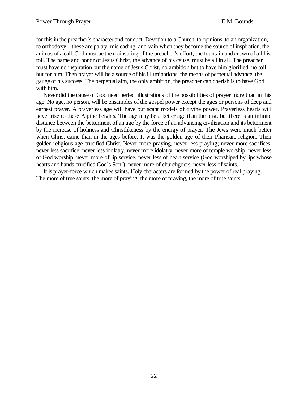for this in the preacher's character and conduct. Devotion to a Church, to opinions, to an organization, to orthodoxy—these are paltry, misleading, and vain when they become the source of inspiration, the animus of a call. God must be the mainspring of the preacher's effort, the fountain and crown of all his toil. The name and honor of Jesus Christ, the advance of his cause, must be all in all. The preacher must have no inspiration but the name of Jesus Christ, no ambition but to have him glorified, no toil but for him. Then prayer will be a source of his illuminations, the means of perpetual advance, the gauge of his success. The perpetual aim, the only ambition, the preacher can cherish is to have God with him.

Never did the cause of God need perfect illustrations of the possibilities of prayer more than in this age. No age, no person, will be ensamples of the gospel power except the ages or persons of deep and earnest prayer. A prayerless age will have but scant models of divine power. Prayerless hearts will never rise to these Alpine heights. The age may be a better age than the past, but there is an infinite distance between the betterment of an age by the force of an advancing civilization and its betterment by the increase of holiness and Christlikeness by the energy of prayer. The Jews were much better when Christ came than in the ages before. It was the golden age of their Pharisaic religion. Their golden religious age crucified Christ. Never more praying, never less praying; never more sacrifices, never less sacrifice; never less idolatry, never more idolatry; never more of temple worship, never less of God worship; never more of lip service, never less of heart service (God worshiped by lips whose hearts and hands crucified God's Son!); never more of churchgoers, never less of saints.

It is prayer-force which makes saints. Holy characters are formed by the power of real praying. The more of true saints, the more of praying; the more of praying, the more of true saints.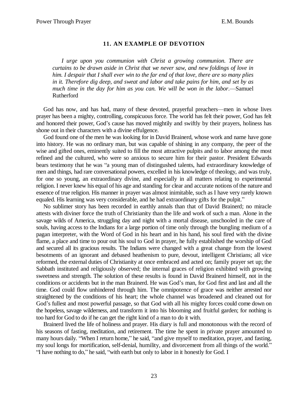#### **11. AN EXAMPLE OF DEVOTION**

*I urge upon you communion with Christ a growing communion. There are curtains to be drawn aside in Christ that we never saw, and new foldings of love in him. I despair that I shall ever win to the far end of that love, there are so many plies in it. Therefore dig deep, and sweat and labor and take pains for him, and set by as much time in the day for him as you can. We will be won in the labor*—Samuel Rutherford

God has now, and has had, many of these devoted, prayerful preachers—men in whose lives prayer has been a mighty, controlling, conspicuous force. The world has felt their power, God has felt and honored their power, God's cause has moved mightily and swiftly by their prayers, holiness has shone out in their characters with a divine effulgence.

God found one of the men he was looking for in David Brainerd, whose work and name have gone into history. He was no ordinary man, but was capable of shining in any company, the peer of the wise and gifted ones, eminently suited to fill the most attractive pulpits and to labor among the most refined and the cultured, who were so anxious to secure him for their pastor. President Edwards bears testimony that he was "a young man of distingushed talents, had extraordinary knowledge of men and things, had rare conversational powers, excelled in his knowledge of theology, and was truly, for one so young, an extraordinary divine, and especially in all matters relating to experimental religion. I never knew his equal of his age and standing for clear and accurate notions of the nature and essence of true religion. His manner in prayer was almost inimitable, such as I have very rarely known equaled. His learning was very considerable, and he had extraordinary gifts for the pulpit."

No sublimer story has been recorded in earthly annals than that of David Brainerd; no miracle attests with diviner force the truth of Christianity than the life and work of such a man. Alone in the savage wilds of America, struggling day and night with a mortal disease, unschooled in the care of souls, having access to the Indians for a large portion of time only through the bungling medium of a pagan interpreter, with the Word of God in his heart and in his hand, his soul fired with the divine flame, a place and time to pour out his soul to God in prayer, he fully established the worship of God and secured all its gracious results. The Indians were changed with a great change from the lowest besotments of an ignorant and debased heathenism to pure, devout, intelligent Christians; all vice reformed, the external duties of Christianity at once embraced and acted on; family prayer set up; the Sabbath instituted and religiously observed; the internal graces of religion exhibited with growing sweetness and strength. The solution of these results is found in David Brainerd himself, not in the conditions or accidents but in the man Brainerd. He was God's man, for God first and last and all the time. God could flow unhindered through him. The omnipotence of grace was neither arrested nor straightened by the conditions of his heart; the whole channel was broadened and cleaned out for God's fullest and most powerful passage, so that God with all his mighty forces could come down on the hopeless, savage wilderness, and transform it into his blooming and fruitful garden; for nothing is too hard for God to do if he can get the right kind of a man to do it with.

Brainerd lived the life of holiness and prayer. His diary is full and monotonous with the record of his seasons of fasting, meditation, and retirement. The time he spent in private prayer amounted to many hours daily. "When I return home," he said, "and give myself to meditation, prayer, and fasting, my soul longs for mortification, self-denial, humility, and divorcement from all things of the world.<sup>"</sup> "I have nothing to do," he said, "with earth but only to labor in it honestly for God. I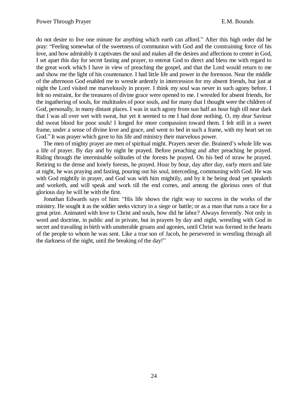do not desire to live one minute for anything which earth can afford.´ After this high order did he pray: ³Feeling somewhat of the sweetness of communion with God and the constraining force of his love, and how admirably it captivates the soul and makes all the desires and affections to center in God, I set apart this day for secret fasting and prayer, to entreat God to direct and bless me with regard to the great work which I have in view of preaching the gospel, and that the Lord would return to me and show me the light of his countenance. I had little life and power in the forenoon. Near the middle of the afternoon God enabled me to wrestle ardently in intercession for my absent friends, but just at night the Lord visited me marvelously in prayer. I think my soul was never in such agony before. I felt no restraint, for the treasures of divine grace were opened to me. I wrestled for absent friends, for the ingathering of souls, for multitudes of poor souls, and for many that I thought were the children of God, personally, in many distant places. I was in such agony from sun half an hour high till near dark that I was all over wet with sweat, but yet it seemed to me I had done nothing. O, my dear Saviour did sweat blood for poor souls! I longed for more compassion toward them. I felt still in a sweet frame, under a sense of divine love and grace, and went to bed in such a frame, with my heart set on God." It was prayer which gave to his life and ministry their marvelous power.

The men of mighty prayer are men of spiritual might. Prayers never die. Brainerd's whole life was a life of prayer. By day and by night he prayed. Before preaching and after preaching he prayed. Riding through the interminable solitudes of the forests he prayed. On his bed of straw he prayed. Retiring to the dense and lonely forests, he prayed. Hour by hour, day after day, early morn and late at night, he was praying and fasting, pouring out his soul, interceding, communing with God. He was with God mightily in prayer, and God was with him mightily, and by it he being dead yet speaketh and worketh, and will speak and work till the end comes, and among the glorious ones of that glorious day he will be with the first.

Jonathan Edwards says of him: "His life shows the right way to success in the works of the ministry. He sought it as the soldier seeks victory in a siege or battle; or as a man that runs a race for a great prize. Animated with love to Christ and souls, how did he labor? Always fervently. Not only in word and doctrine, in public and in private, but in prayers by day and night, wrestling with God in secret and travailing in birth with unutterable groans and agonies, until Christ was formed in the hearts of the people to whom he was sent. Like a true son of Jacob, he persevered in wrestling through all the darkness of the night, until the breaking of the day!´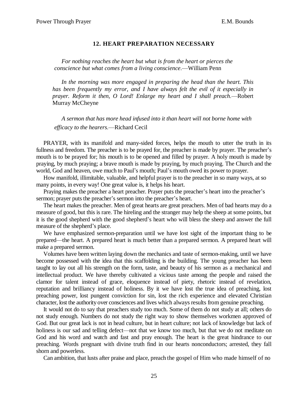#### **12. HEART PREPARATION NECESSARY**

*For nothing reaches the heart but what is from the heart or pierces the conscience but what comes from a living conscience*.—William Penn

*In the morning was more engaged in preparing the head than the heart. This has been frequently my error, and I have always felt the evil of it especially in prayer. Reform it then, O Lord! Enlarge my heart and I shall preach.*—Robert Murray McCheyne

*A sermon that has more head infused into it than heart will not borne home with efficacy to the hearers*.—Richard Cecil

PRAYER, with its manifold and many-sided forces, helps the mouth to utter the truth in its fullness and freedom. The preacher is to be prayed for, the preacher is made by prayer. The preacher's mouth is to be prayed for; his mouth is to be opened and filled by prayer. A holy mouth is made by praying, by much praying; a brave mouth is made by praying, by much praying. The Church and the world, God and heaven, owe much to Paul's mouth; Paul's mouth owed its power to prayer.

How manifold, illimitable, valuable, and helpful prayer is to the preacher in so many ways, at so many points, in every way! One great value is, it helps his heart.

Praying makes the preacher a heart preacher. Prayer puts the preacher's heart into the preacher's sermon; prayer puts the preacher's sermon into the preacher's heart.

The heart makes the preacher. Men of great hearts are great preachers. Men of bad hearts may do a measure of good, but this is rare. The hireling and the stranger may help the sheep at some points, but it is the good shepherd with the good shepherd's heart who will bless the sheep and answer the full measure of the shepherd's place.

We have emphasized sermon-preparation until we have lost sight of the important thing to be prepared—the heart. A prepared heart is much better than a prepared sermon. A prepared heart will make a prepared sermon.

Volumes have been written laying down the mechanics and taste of sermon-making, until we have become possessed with the idea that this scaffolding is the building. The young preacher has been taught to lay out all his strength on the form, taste, and beauty of his sermon as a mechanical and intellectual product. We have thereby cultivated a vicious taste among the people and raised the clamor for talent instead of grace, eloquence instead of piety, rhetoric instead of revelation, reputation and brilliancy instead of holiness. By it we have lost the true idea of preaching, lost preaching power, lost pungent conviction for sin, lost the rich experience and elevated Christian character, lost the authority over consciences and lives which always results from genuine preaching.

It would not do to say that preachers study too much. Some of them do not study at all; others do not study enough. Numbers do not study the right way to show themselves workmen approved of God. But our great lack is not in head culture, but in heart culture; not lack of knowledge but lack of holiness is our sad and telling defect—not that we know too much, but that we do not meditate on God and his word and watch and fast and pray enough. The heart is the great hindrance to our preaching. Words pregnant with divine truth find in our hearts nonconductors; arrested, they fall shorn and powerless.

Can ambition, that lusts after praise and place, preach the gospel of Him who made himself of no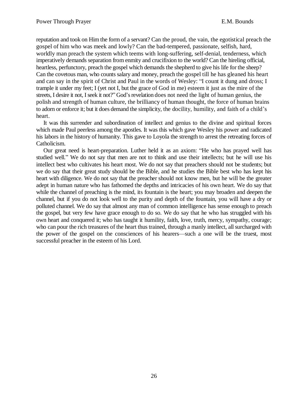reputation and took on Him the form of a servant? Can the proud, the vain, the egotistical preach the gospel of him who was meek and lowly? Can the bad-tempered, passionate, selfish, hard, worldly man preach the system which teems with long-suffering, self-denial, tenderness, which imperatively demands separation from enmity and crucifixion to the world? Can the hireling official, heartless, perfunctory, preach the gospel which demands the shepherd to give his life for the sheep? Can the covetous man, who counts salary and money, preach the gospel till he has gleaned his heart and can say in the spirit of Christ and Paul in the words of Wesley: "I count it dung and dross; I trample it under my feet; I (yet not I, but the grace of God in me) esteem it just as the mire of the streets, I desire it not, I seek it not?" God's revelation does not need the light of human genius, the polish and strength of human culture, the brilliancy of human thought, the force of human brains to adorn or enforce it; but it does demand the simplicity, the docility, humility, and faith of a child's heart.

It was this surrender and subordination of intellect and genius to the divine and spiritual forces which made Paul peerless among the apostles. It was this which gave Wesley his power and radicated his labors in the history of humanity. This gave to Loyola the strength to arrest the retreating forces of Catholicism.

Our great need is heart-preparation. Luther held it as an axiom: "He who has prayed well has studied well." We do not say that men are not to think and use their intellects; but he will use his intellect best who cultivates his heart most. We do not say that preachers should not be students; but we do say that their great study should be the Bible, and he studies the Bible best who has kept his heart with diligence. We do not say that the preacher should not know men, but he will be the greater adept in human nature who has fathomed the depths and intricacies of his own heart. We do say that while the channel of preaching is the mind, its fountain is the heart; you may broaden and deepen the channel, but if you do not look well to the purity and depth of the fountain, you will have a dry or polluted channel. We do say that almost any man of common intelligence has sense enough to preach the gospel, but very few have grace enough to do so. We do say that he who has struggled with his own heart and conquered it; who has taught it humility, faith, love, truth, mercy, sympathy, courage; who can pour the rich treasures of the heart thus trained, through a manly intellect, all surcharged with the power of the gospel on the consciences of his hearers—such a one will be the truest, most successful preacher in the esteem of his Lord.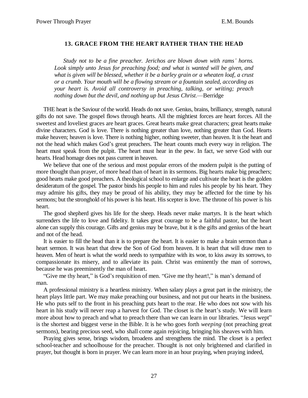# **13. GRACE FROM THE HEART RATHER THAN THE HEAD**

*Study not to be a fine preacher. Jerichos are blown down with rams' horns. Look simply unto Jesus for preaching food; and what is wanted will be given, and what is given will be blessed, whether it be a barley grain or a wheaten loaf, a crust or a crumb. Your mouth will be a flowing stream or a fountain sealed, according as your heart is. Avoid all controversy in preaching, talking, or writing; preach nothing down but the devil, and nothing up but Jesus Christ.—Berridge* 

THE heart is the Saviour of the world. Heads do not save. Genius, brains, brilliancy, strength, natural gifts do not save. The gospel flows through hearts. All the mightiest forces are heart forces. All the sweetest and loveliest graces are heart graces. Great hearts make great characters; great hearts make divine characters. God is love. There is nothing greater than love, nothing greater than God. Hearts make heaven; heaven is love. There is nothing higher, nothing sweeter, than heaven. It is the heart and not the head which makes God's great preachers. The heart counts much every way in religion. The heart must speak from the pulpit. The heart must hear in the pew. In fact, we serve God with our hearts. Head homage does not pass current in heaven.

We believe that one of the serious and most popular errors of the modern pulpit is the putting of more thought than prayer, of more head than of heart in its sermons. Big hearts make big preachers; good hearts make good preachers. A theological school to enlarge and cultivate the heart is the golden desideratum of the gospel. The pastor binds his people to him and rules his people by his heart. They may admire his gifts, they may be proud of his ability, they may be affected for the time by his sermons; but the stronghold of his power is his heart. His scepter is love. The throne of his power is his heart.

The good shepherd gives his life for the sheep. Heads never make martyrs. It is the heart which surrenders the life to love and fidelity. It takes great courage to be a faithful pastor, but the heart alone can supply this courage. Gifts and genius may be brave, but it is the gifts and genius of the heart and not of the head.

It is easier to fill the head than it is to prepare the heart. It is easier to make a brain sermon than a heart sermon. It was heart that drew the Son of God from heaven. It is heart that will draw men to heaven. Men of heart is what the world needs to sympathize with its woe, to kiss away its sorrows, to compassionate its misery, and to alleviate its pain. Christ was eminently the man of sorrows, because he was preeminently the man of heart.

"Give me thy heart," is God's requisition of men. "Give me thy heart!," is man's demand of man.

A professional ministry is a heartless ministry. When salary plays a great part in the ministry, the heart plays little part. We may make preaching our business, and not put our hearts in the business. He who puts self to the front in his preaching puts heart to the rear. He who does not sow with his heart in his study will never reap a harvest for God. The closet is the heart's study. We will learn more about how to preach and what to preach there than we can learn in our libraries. "Jesus wept" is the shortest and biggest verse in the Bible. It is he who goes forth *weeping* (not preaching great sermons), bearing precious seed, who shall come again rejoicing, bringing his sheaves with him.

Praying gives sense, brings wisdom, broadens and strengthens the mind. The closet is a perfect school-teacher and schoolhouse for the preacher. Thought is not only brightened and clarified in prayer, but thought is born in prayer. We can learn more in an hour praying, when praying indeed,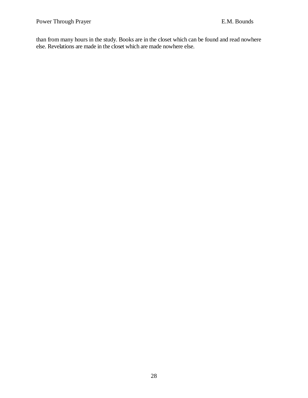than from many hours in the study. Books are in the closet which can be found and read nowhere else. Revelations are made in the closet which are made nowhere else.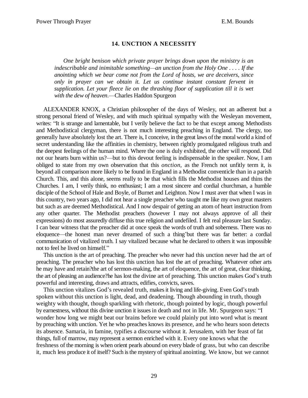# **14. UNCTION A NECESSITY**

*One bright benison which private prayer brings down upon the ministry is an indescribable and inimitable something²an unction from the Holy One . . . . If the anointing which we bear come not from the Lord of hosts, we are deceivers, since only in prayer can we obtain it. Let us continue instant constant fervent in supplication. Let your fleece lie on the thrashing floor of supplication till it is wet* with the dew of heaven.—Charles Haddon Spurgeon

ALEXANDER KNOX, a Christian philosopher of the days of Wesley, not an adherent but a strong personal friend of Wesley, and with much spiritual sympathy with the Wesleyan movement, writes: "It is strange and lamentable, but I verily believe the fact to be that except among Methodists and Methodistical clergyman, there is not much interesting preaching in England. The clergy, too generally have absolutely lost the art. There is, I conceive, in the great laws of the moral world a kind of secret understanding like the affinities in chemistry, between rightly promulgated religious truth and the deepest feelings of the human mind. Where the one is duly exhibited, the other will respond. Did not our hearts burn within us?—but to this devout feeling is indispensable in the speaker. Now, I am obliged to state from my own observation that this *onction,* as the French not unfitly term it, is beyond all comparison more likely to be found in England in a Methodist conventicle than in a parish Church. This, and this alone, seems really to be that which fills the Methodist houses and thins the Churches. I am, I verily think, no enthusiast; I am a most sincere and cordial churchman, a humble disciple of the School of Hale and Boyle, of Burnet and Leighton. Now I must aver that when I was in this country, two years ago, I did not hear a single preacher who taught me like my own great masters but such as are deemed Methodistical. And I now despair of getting an atom of heart instruction from any other quarter. The Methodist preachers (however I may not always approve of all their expressions) do most assuredly diffuse this true religion and undefiled. I felt real pleasure last Sunday. I can bear witness that the preacher did at once speak the words of truth and soberness. There was no eloquence—the honest man never dreamed of such a thing'but there was far better: a cordial communication of vitalized truth. I say vitalized because what he declared to others it was impossible not to feel he lived on himself.´

This unction is the art of preaching. The preacher who never had this unction never had the art of preaching. The preacher who has lost this unction has lost the art of preaching. Whatever other arts he may have and retain?the art of sermon-making, the art of eloquence, the art of great, clear thinking, the art of pleasing an audience?he has lost the divine art of preaching. This unction makes God's truth powerful and interesting, draws and attracts, edifies, convicts, saves.

This unction vitalizes God's revealed truth, makes it living and life-giving. Even God's truth spoken without this unction is light, dead, and deadening. Though abounding in truth, though weighty with thought, though sparkling with rhetoric, though pointed by logic, though powerful by earnestness, without this divine unction it issues in death and not in life. Mr. Spurgeon says: "I wonder how long we might beat our brains before we could plainly put into word what is meant by preaching with unction. Yet he who preaches knows its presence, and he who hears soon detects its absence. Samaria, in famine, typifies a discourse without it. Jerusalem, with her feast of fat things, full of marrow, may represent a sermon enriched with it. Every one knows what the freshness of the morning is when orient pearls abound on every blade of grass, but who can describe it, much less produce it of itself? Such is the mystery of spiritual anointing. We know, but we cannot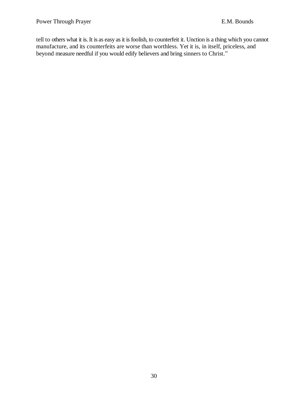tell to others what it is. It is as easy as it is foolish, to counterfeit it. Unction is a thing which you cannot manufacture, and its counterfeits are worse than worthless. Yet it is, in itself, priceless, and beyond measure needful if you would edify believers and bring sinners to Christ.<sup>"</sup>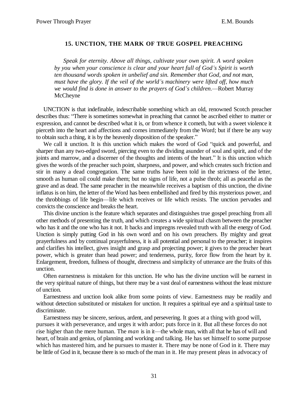# **15. UNCTION, THE MARK OF TRUE GOSPEL PREACHING**

*Speak for eternity. Above all things, cultivate your own spirit. A word spoken by you when your conscience is clear and your heart full of God¶s Spirit is worth ten thousand words spoken in unbelief and sin. Remember that God, and not man, must have the glory. If the veil of the world¶s machinery were lifted off, how much we would find is done in answer to the prayers of God's children*—Robert Murray McCheyne

UNCTION is that indefinable, indescribable something which an old, renowned Scotch preacher describes thus: "There is sometimes somewhat in preaching that cannot be ascribed either to matter or expression, and cannot be described what it is, or from whence it cometh, but with a sweet violence it pierceth into the heart and affections and comes immediately from the Word; but if there be any way to obtain such a thing, it is by the heavenly disposition of the speaker.´

We call it unction. It is this unction which makes the word of God "quick and powerful, and sharper than any two-edged sword, piercing even to the dividing asunder of soul and spirit, and of the joints and marrow, and a discerner of the thoughts and intents of the heart." It is this unction which gives the words of the preacher such point, sharpness, and power, and which creates such friction and stir in many a dead congregation. The same truths have been told in the strictness of the letter, smooth as human oil could make them; but no signs of life, not a pulse throb; all as peaceful as the grave and as dead. The same preacher in the meanwhile receives a baptism of this unction, the divine inflatus is on him, the letter of the Word has been embellished and fired by this mysterious power, and the throbbings of life begin—life which receives or life which resists. The unction pervades and convicts the conscience and breaks the heart.

This divine unction is the feature which separates and distinguishes true gospel preaching from all other methods of presenting the truth, and which creates a wide spiritual chasm between the preacher who has it and the one who has it not. It backs and impregns revealed truth with all the energy of God. Unction is simply putting God in his own word and on his own preachers. By mighty and great prayerfulness and by continual prayerfulness, it is all potential and personal to the preacher; it inspires and clarifies his intellect, gives insight and grasp and projecting power; it gives to the preacher heart power, which is greater than head power; and tenderness, purity, force flow from the heart by it. Enlargement, freedom, fullness of thought, directness and simplicity of utterance are the fruits of this unction.

Often earnestness is mistaken for this unction. He who has the divine unction will be earnest in the very spiritual nature of things, but there may be a vast deal of earnestness without the least mixture of unction.

Earnestness and unction look alike from some points of view. Earnestness may be readily and without detection substituted or mistaken for unction. It requires a spiritual eye and a spiritual taste to discriminate.

Earnestness may be sincere, serious, ardent, and persevering. It goes at a thing with good will, pursues it with perseverance, and urges it with ardor; puts force in it. But all these forces do not rise higher than the mere human. The *man* is in it—the whole man, with all that he has of will and heart, of brain and genius, of planning and working and talking. He has set himself to some purpose which has mastered him, and he pursues to master it. There may be none of God in it. There may be little of God in it, because there is so much of the man in it. He may present pleas in advocacy of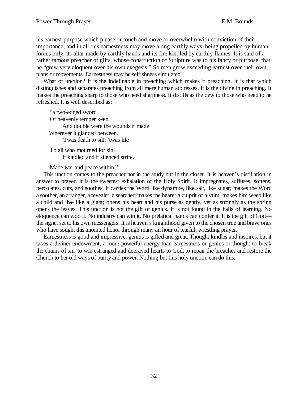his earnest purpose which please or touch and move or overwhelm with conviction of their importance; and in all this earnestness may move along earthly ways, being propelled by human forces only, its altar made by earthly hands and its fire kindled by earthly flames. It is said of a rather famous preacher of gifts, whose construction of Scripture was to his fancy or purpose, that he "grew very eloquent over his own exegesis." So men grow exceeding earnest over their own plans or movements. Earnestness may be selfishness simulated.

What of unction? It is the indefinable in preaching which makes it preaching. It is that which distinguishes and separates preaching from all mere human addresses. It is the divine in preaching. It makes the preaching sharp to those who need sharpness. It distills as the dew to those who need to he refreshed. It is well described as:

³a two-edged sword Of heavenly temper keen, And double were the wounds it made Wherever it glanced between. 'Twas death to silt; 'twas life

To all who mourned for sin. It kindled and it silenced strife,

Made war and peace within."

This unction comes to the preacher not in the study but in the closet. It is heaven's distillation in answer to prayer. It is the sweetest exhalation of the Holy Spirit. It impregnates, suffuses, softens, percolates, cuts, and soothes. It carries the Word like dynamite, like salt, like sugar; makes the Word a soother, an arranger, a revealer, a searcher; makes the hearer a culprit or a saint, makes him weep like a child and live like a giant; opens his heart and his purse as gently, yet as strongly as the spring opens the leaves. This unction is not the gift of genius. It is not found in the halls of learning. No eloquence can woo it. No industry can win it. No prelatical hands can confer it. It is the gift of God the signet set to his own messengers. It is heaven's knighthood given to the chosen true and brave ones who have sought this anointed honor through many an hour of tearful, wrestling prayer.

Earnestness is good and impressive: genius is gifted and great. Thought kindles and inspires, but it takes a diviner endowment, a more powerful energy than earnestness or genius or thought to break the chains of sin, to win estranged and depraved hearts to God, to repair the breaches and restore the Church to her old ways of purity and power. Nothing but this holy unction can do this.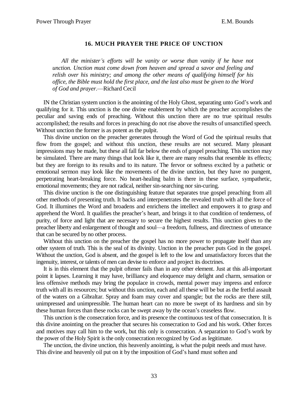# **16. MUCH PRAYER THE PRICE OF UNCTION**

*All the minister¶s efforts will be vanity or worse than vanity if he have not unction. Unction must come down from heaven and spread a savor and feeling and relish over his ministry; and among the other means of qualifying himself for his office, the Bible must hold the first place, and the last also must be given to the Word* of God and prayer<sup>\*</sup>-Richard Cecil

IN the Christian system unction is the anointing of the Holy Ghost, separating unto God's work and qualifying for it. This unction is the one divine enablement by which the preacher accomplishes the peculiar and saving ends of preaching. Without this unction there are no true spiritual results accomplished; the results and forces in preaching do not rise above the results of unsanctified speech. Without unction the former is as potent as the pulpit.

This divine unction on the preacher generates through the Word of God the spiritual results that flow from the gospel; and without this unction, these results are not secured. Many pleasant impressions may be made, but these all fall far below the ends of gospel preaching. This unction may be simulated. There are many things that look like it, there are many results that resemble its effects; but they are foreign to its results and to its nature. The fervor or softness excited by a pathetic or emotional sermon may look like the movements of the divine unction, but they have no pungent, perpetrating heart-breaking force. No heart-healing balm is there in these surface, sympathetic, emotional movements; they are not radical, neither sin-searching nor sin-curing.

This divine unction is the one distinguishing feature that separates true gospel preaching from all other methods of presenting truth. It backs and interpenetrates the revealed truth with all the force of God. It illumines the Word and broadens and enrichens the intellect and empowers it to grasp and apprehend the Word. It qualifies the preacher's heart, and brings it to that condition of tenderness, of purity, of force and light that are necessary to secure the highest results. This unction gives to the preacher liberty and enlargement of thought and soul—a freedom, fullness, and directness of utterance that can be secured by no other process.

Without this unction on the preacher the gospel has no more power to propagate itself than any other system of truth. This is the seal of its divinity. Unction in the preacher puts God in the gospel. Without the unction, God is absent, and the gospel is left to the low and unsatisfactory forces that the ingenuity, interest, or talents of men can devise to enforce and project its doctrines.

It is in this element that the pulpit oftener fails than in any other element. Just at this all-important point it lapses. Learning it may have, brilliancy and eloquence may delight and charm, sensation or less offensive methods may bring the populace in crowds, mental power may impress and enforce truth with all its resources; but without this unction, each and all these will be but as the fretful assault of the waters on a Gibraltar. Spray and foam may cover and spangle; but the rocks are there still, unimpressed and unimpressible. The human heart can no more be swept of its hardness and sin by these human forces than these rocks can be swept away by the ocean's ceaseless flow.

This unction is the consecration force, and its presence the continuous test of that consecration. It is this divine anointing on the preacher that secures his consecration to God and his work. Other forces and motives may call him to the work, but this only is consecration. A separation to God's work by the power of the Holy Spirit is the only consecration recognized by God as legitimate.

The unction, the divine unction, this heavenly anointing, is what the pulpit needs and must have. This divine and heavenly oil put on it by the imposition of God's hand must soften and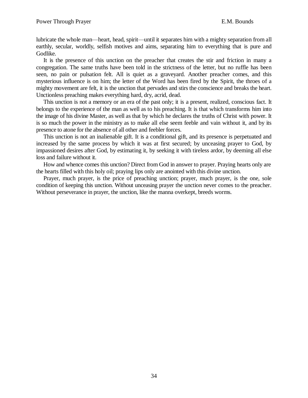lubricate the whole man—heart, head, spirit—until it separates him with a mighty separation from all earthly, secular, worldly, selfish motives and aims, separating him to everything that is pure and Godlike.

It is the presence of this unction on the preacher that creates the stir and friction in many a congregation. The same truths have been told in the strictness of the letter, but no ruffle has been seen, no pain or pulsation felt. All is quiet as a graveyard. Another preacher comes, and this mysterious influence is on him; the letter of the Word has been fired by the Spirit, the throes of a mighty movement are felt, it is the unction that pervades and stirs the conscience and breaks the heart. Unctionless preaching makes everything hard, dry, acrid, dead.

This unction is not a memory or an era of the past only; it is a present, realized, conscious fact. It belongs to the experience of the man as well as to his preaching. It is that which transforms him into the image of his divine Master, as well as that by which he declares the truths of Christ with power. It is so much the power in the ministry as to make all else seem feeble and vain without it, and by its presence to atone for the absence of all other and feebler forces.

This unction is not an inalienable gift. It is a conditional gift, and its presence is perpetuated and increased by the same process by which it was at first secured; by unceasing prayer to God, by impassioned desires after God, by estimating it, by seeking it with tireless ardor, by deeming all else loss and failure without it.

How and whence comes this unction? Direct from God in answer to prayer. Praying hearts only are the hearts filled with this holy oil; praying lips only are anointed with this divine unction.

Prayer, much prayer, is the price of preaching unction; prayer, much prayer, is the one, sole condition of keeping this unction. Without unceasing prayer the unction never comes to the preacher. Without perseverance in prayer, the unction, like the manna overkept, breeds worms.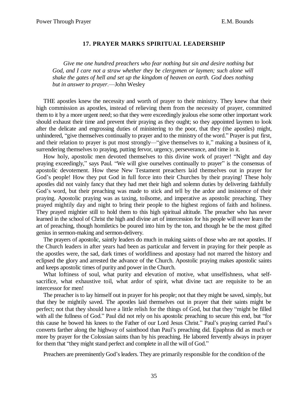# **17. PRAYER MARKS SPIRITUAL LEADERSHIP**

*Give me one hundred preachers who fear nothing but sin and desire nothing but* God, and I care not a straw whether they be clergymen or laymen; such alone will *shake the gates of hell and set up the kingdom of heaven on earth. God does nothing but in answer to prayer*—John Wesley

THE apostles knew the necessity and worth of prayer to their ministry. They knew that their high commission as apostles, instead of relieving them from the necessity of prayer, committed them to it by a more urgent need; so that they were exceedingly jealous else some other important work should exhaust their time and prevent their praying as they ought; so they appointed laymen to look after the delicate and engrossing duties of ministering to the poor, that they (the apostles) might, unhindered, "give themselves continually to prayer and to the ministry of the word." Prayer is put first, and their relation to prayer is put most strongly—"give themselves to it," making a business of it, surrendering themselves to praying, putting fervor, urgency, perseverance, and time in it.

How holy, apostolic men devoted themselves to this divine work of prayer! "Night and day praying exceedingly," says Paul. "We will give ourselves continually to prayer" is the consensus of apostolic devotement. How these New Testament preachers laid themselves out in prayer for God's people! How they put God in full force into their Churches by their praying! These holy apostles did not vainly fancy that they had met their high and solemn duties by delivering faithfully God's word, but their preaching was made to stick and tell by the ardor and insistence of their praying. Apostolic praying was as taxing, toilsome, and imperative as apostolic preaching. They prayed mightily day and night to bring their people to the highest regions of faith and holiness. They prayed mightier still to hold them to this high spiritual altitude. The preacher who has never learned in the school of Christ the high and divine art of intercession for his people will never learn the art of preaching, though homiletics be poured into him by the ton, and though he be the most gifted genius in sermon-making and sermon-delivery.

The prayers of apostolic, saintly leaders do much in making saints of those who are not apostles. If the Church leaders in after years had been as particular and fervent in praying for their people as the apostles were, the sad, dark times of worldliness and apostasy had not marred the history and eclipsed the glory and arrested the advance of the Church. Apostolic praying makes apostolic saints and keeps apostolic times of purity and power in the Church.

What loftiness of soul, what purity and elevation of motive, what unselfishness, what selfsacrifice, what exhaustive toil, what ardor of spirit, what divine tact are requisite to be an intercessor for men!

The preacher is to lay himself out in prayer for his people; not that they might be saved, simply, but that they be mightily saved. The apostles laid themselves out in prayer that their saints might be perfect; not that they should have a little relish for the things of God, but that they "might be filled with all the fullness of God." Paul did not rely on his apostolic preaching to secure this end, but "for this cause he bowed his knees to the Father of our Lord Jesus Christ.<sup>\*</sup> Paul's praying carried Paul's converts farther along the highway of sainthood than Paul's preaching did. Epaphras did as much or more by prayer for the Colossian saints than by his preaching. He labored fervently always in prayer for them that "they might stand perfect and complete in all the will of God."

Preachers are preeminently God's leaders. They are primarily responsible for the condition of the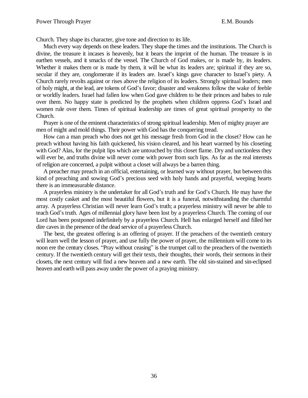Church. They shape its character, give tone and direction to its life.

Much every way depends on these leaders. They shape the times and the institutions. The Church is divine, the treasure it incases is heavenly, but it bears the imprint of the human. The treasure is in earthen vessels, and it smacks of the vessel. The Church of God makes, or is made by, its leaders. Whether it makes them or is made by them, it will be what its leaders are; spiritual if they are so, secular if they are, conglomerate if its leaders are. Israel's kings gave character to Israel's piety. A Church rarely revolts against or rises above the religion of its leaders. Strongly spiritual leaders; men of holy might, at the lead, are tokens of God's favor; disaster and weakness follow the wake of feeble or worldly leaders. Israel had fallen low when God gave children to be their princes and babes to rule over them. No happy state is predicted by the prophets when children oppress God's Israel and women rule over them. Times of spiritual leadership are times of great spiritual prosperity to the Church.

Prayer is one of the eminent characteristics of strong spiritual leadership. Men of mighty prayer are men of might and mold things. Their power with God has the conquering tread.

How can a man preach who does not get his message fresh from God in the closet? How can he preach without having his faith quickened, his vision cleared, and his heart warmed by his closeting with God? Alas, for the pulpit lips which are untouched by this closet flame. Dry and unctionless they will ever be, and truths divine will never come with power from such lips. As far as the real interests of religion are concerned, a pulpit without a closet will always be a barren thing.

A preacher may preach in an official, entertaining, or learned way without prayer, but between this kind of preaching and sowing God's precious seed with holy hands and prayerful, weeping hearts there is an immeasurable distance.

A prayerless ministry is the undertaker for all God's truth and for God's Church. He may have the most costly casket and the most beautiful flowers, but it is a funeral, notwithstanding the charmful array. A prayerless Christian will never learn God's truth; a prayerless ministry will never be able to teach God's truth. Ages of millennial glory have been lost by a prayerless Church. The coming of our Lord has been postponed indefinitely by a prayerless Church. Hell has enlarged herself and filled her dire caves in the presence of the dead service of a prayerless Church.

The best, the greatest offering is an offering of prayer. If the preachers of the twentieth century will learn well the lesson of prayer, and use fully the power of prayer, the millennium will come to its noon ere the century closes. "Pray without ceasing" is the trumpet call to the preachers of the twentieth century. If the twentieth century will get their texts, their thoughts, their words, their sermons in their closets, the next century will find a new heaven and a new earth. The old sin-stained and sin-eclipsed heaven and earth will pass away under the power of a praying ministry.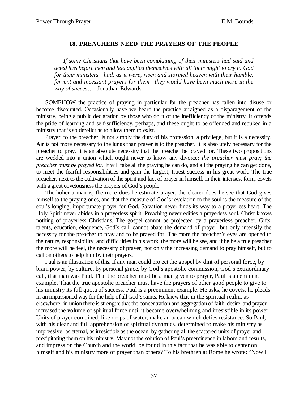# **18. PREACHERS NEED THE PRAYERS OF THE PEOPLE**

*If some Christians that have been complaining of their ministers had said and acted less before men and had applied themselves with all their might to cry to God for their ministers²had, as it were, risen and stormed heaven with their humble, fervent and incessant prayers for them—they would have been much more in the* way of success.**-**Jonathan Edwards

SOMEHOW the practice of praying in particular for the preacher has fallen into disuse or become discounted. Occasionally have we heard the practice arraigned as a disparagement of the ministry, being a public declaration by those who do it of the inefficiency of the ministry. It offends the pride of learning and self-sufficiency, perhaps, and these ought to be offended and rebuked in a ministry that is so derelict as to allow them to exist.

Prayer, to the preacher, is not simply the duty of his profession, a privilege, but it is a necessity. Air is not more necessary to the lungs than prayer is to the preacher. It is absolutely necessary for the preacher to pray. It is an absolute necessity that the preacher be prayed for. These two propositions are wedded into a union which ought never to know any divorce: *the preacher must pray; the preacher must be prayed for.* It will take all the praying he can do, and all the praying he can get done, to meet the fearful responsibilities and gain the largest, truest success in his great work. The true preacher, next to the cultivation of the spirit and fact of prayer in himself, in their intensest form, covets with a great covetousness the prayers of God's people.

The holier a man is, the more does he estimate prayer; the clearer does he see that God gives himself to the praying ones, and that the measure of God's revelation to the soul is the measure of the soul's longing, importunate prayer for God. Salvation never finds its way to a prayerless heart. The Holy Spirit never abides in a prayerless spirit. Preaching never edifies a prayerless soul. Christ knows nothing of prayerless Christians. The gospel cannot be projected by a prayerless preacher. Gifts, talents, education, eloquence, God's call, cannot abate the demand of prayer, but only intensify the necessity for the preacher to pray and to be prayed for. The more the preacher's eyes are opened to the nature, responsibility, and difficulties in his work, the more will he see, and if he be a true preacher the more will he feel, the necessity of prayer; not only the increasing demand to pray himself, but to call on others to help him by their prayers.

Paul is an illustration of this. If any man could project the gospel by dint of personal force, by brain power, by culture, by personal grace, by God's apostolic commission, God's extraordinary call, that man was Paul. That the preacher must be a man given to prayer, Paul is an eminent example. That the true apostolic preacher must have the prayers of other good people to give to his ministry its full quota of success, Paul is a preeminent example. He asks, he covets, he pleads in an impassioned way for the help of all God's saints. He knew that in the spiritual realm, as elsewhere, in union there is strength; that the concentration and aggregation of faith, desire, and prayer increased the volume of spiritual force until it became overwhelming and irresistible in its power. Units of prayer combined, like drops of water, make an ocean which defies resistance. So Paul, with his clear and full apprehension of spiritual dynamics, determined to make his ministry as impressive, as eternal, as irresistible as the ocean, by gathering all the scattered units of prayer and precipitating them on his ministry. May not the solution of Paul's preeminence in labors and results, and impress on the Church and the world, be found in this fact that he was able to center on himself and his ministry more of prayer than others? To his brethren at Rome he wrote: "Now I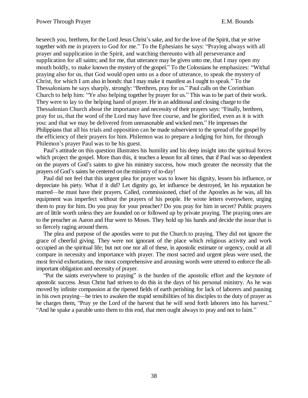beseech you, brethren, for the Lord Jesus Christ's sake, and for the love of the Spirit, that ye strive together with me in prayers to God for me." To the Ephesians he says: "Praying always with all prayer and supplication in the Spirit, and watching thereunto with all perseverance and supplication for all saints; and for me, that utterance may be given unto me, that I may open my mouth boldly, to make known the mystery of the gospel." To the Colossians he emphasizes: "Withal praying also for us, that God would open unto us a door of utterance, to speak the mystery of Christ, for which I am also in bonds: that I may make it manifest as I ought to speak.<sup> $\cdot$ </sup> To the Thessalonians he says sharply, strongly: "Brethren, pray for us." Paul calls on the Corinthian Church to help him: "Ye also helping together by prayer for us." This was to be part of their work. They were to lay to the helping hand of prayer. He in an additional and closing charge to the Thessalonian Church about the importance and necessity of their prayers says: "Finally, brethren, pray for us, that the word of the Lord may have free course, and be glorified, even as it is with you: and that we may be delivered from unreasonable and wicked men.´ He impresses the Philippians that all his trials and opposition can be made subservient to the spread of the gospel by the efficiency of their prayers for him. Philemon was to prepare a lodging for him, for through Philemon's prayer Paul was to be his guest.

Paul's attitude on this question illustrates his humility and his deep insight into the spiritual forces which project the gospel. More than this, it teaches a lesson for all times, that if Paul was so dependent on the prayers of God's saints to give his ministry success, how much greater the necessity that the prayers of God's saints be centered on the ministry of to-day!

Paul did not feel that this urgent plea for prayer was to lower his dignity, lessen his influence, or depreciate his piety. What if it did? Let dignity go, let influence be destroyed, let his reputation be marred—he must have their prayers. Called, commissioned, chief of the Apostles as he was, all his equipment was imperfect without the prayers of his people. He wrote letters everywhere, urging them to pray for him. Do you pray for your preacher? Do you pray for him in secret? Public prayers are of little worth unless they are founded on or followed up by private praying. The praying ones are to the preacher as Aaron and Hur were to Moses. They hold up his hands and decide the issue that is so fiercely raging around them.

The plea and purpose of the apostles were to put the Church to praying. They did not ignore the grace of cheerful giving. They were not ignorant of the place which religious activity and work occupied an the spiritual life; but not one nor all of these, in apostolic estimate or urgency, could at all compare in necessity and importance with prayer. The most sacred and urgent pleas were used, the most fervid exhortations, the most comprehensive and arousing words were uttered to enforce the allimportant obligation and necessity of prayer.

"Put the saints everywhere to praying" is the burden of the apostolic effort and the keynote of apostolic success. Jesus Christ had striven to do this in the days of his personal ministry. As he was moved by infinite compassion at the ripened fields of earth perishing for lack of laborers and pausing in his own praying—he tries to awaken the stupid sensibilities of his disciples to the duty of prayer as he charges them, "Pray ye the Lord of the harvest that he will send forth laborers into his harvest." "And he spake a parable unto them to this end, that men ought always to pray and not to faint."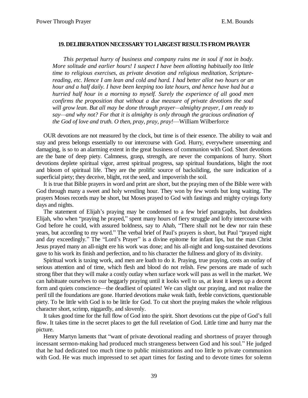# **19. DELIBERATION NECESSARY TO LARGEST RESULTS FROM PRAYER**

*This perpetual hurry of business and company ruins me in soul if not in body. More solitude and earlier hours! I suspect I have been allotting habitually too little time to religious exercises, as private devotion and religious meditation, Scripturereading, etc. Hence I am lean and cold and hard. I had better allot two hours or an hour and a half daily. I have been keeping too late hours, and hence have had but a hurried half hour in a morning to myself. Surely the experience of all good men confirms the proposition that without a due measure of private devotions the soul will grow lean. But all may be done through prayer²almighty prayer, I am ready to say²and why not? For that it is almighty is only through the gracious ordination of the God of love and truth. O then, pray, pray, pray!*—William Wilberforce

OUR devotions are not measured by the clock, but time is of their essence. The ability to wait and stay and press belongs essentially to our intercourse with God. Hurry, everywhere unseeming and damaging, is so to an alarming extent in the great business of communion with God. Short devotions are the bane of deep piety. Calmness, grasp, strength, are never the companions of hurry. Short devotions deplete spiritual vigor, arrest spiritual progress, sap spiritual foundations, blight the root and bloom of spiritual life. They are the prolific source of backsliding, the sure indication of a superficial piety; they deceive, blight, rot the seed, and impoverish the soil.

It is true that Bible prayers in word and print are short, but the praying men of the Bible were with God through many a sweet and holy wrestling hour. They won by few words but long waiting. The prayers Moses records may be short, but Moses prayed to God with fastings and mighty cryings forty days and nights.

The statement of Elijah's praying may be condensed to a few brief paragraphs, but doubtless Elijah, who when "praying he prayed," spent many hours of fiery struggle and lofty intercourse with God before he could, with assured boldness, say to Ahab, "There shall not be dew nor rain these years, but according to my word." The verbal brief of Paul's prayers is short, but Paul "prayed night" and day exceedingly." The "Lord's Prayer" is a divine epitome for infant lips, but the man Christ Jesus prayed many an all-night ere his work was done; and his all-night and long-sustained devotions gave to his work its finish and perfection, and to his character the fullness and glory of its divinity.

Spiritual work is taxing work, and men are loath to do it. Praying, true praying, costs an outlay of serious attention and of time, which flesh and blood do not relish. Few persons are made of such strong fiber that they will make a costly outlay when surface work will pass as well in the market. We can habituate ourselves to our beggarly praying until it looks well to us, at least it keeps up a decent form and quiets conscience—the deadliest of opiates! We can slight our praying, and not realize the peril till the foundations are gone. Hurried devotions make weak faith, feeble convictions, questionable piety. To be little with God is to be little for God. To cut short the praying makes the whole religious character short, scrimp, niggardly, and slovenly.

It takes good time for the full flow of God into the spirit. Short devotions cut the pipe of God's full flow. It takes time in the secret places to get the full revelation of God. Little time and hurry mar the picture.

Henry Martyn laments that "want of private devotional reading and shortness of prayer through incessant sermon-making had produced much strangeness between God and his soul." He judged that he had dedicated too much time to public ministrations and too little to private communion with God. He was much impressed to set apart times for fasting and to devote times for solemn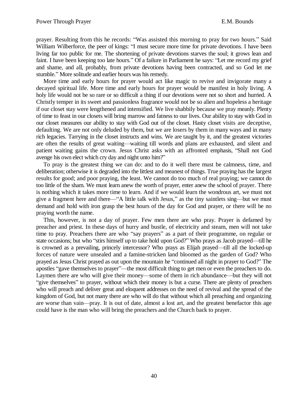prayer. Resulting from this he records: "Was assisted this morning to pray for two hours." Said William Wilberforce, the peer of kings: "I must secure more time for private devotions. I have been living far too public for me. The shortening of private devotions starves the soul; it grows lean and faint. I have been keeping too late hours." Of a failure in Parliament he says: "Let me record my grief and shame, and all, probably, from private devotions having been contracted, and so God let me stumble." More solitude and earlier hours was his remedy.

More time and early hours for prayer would act like magic to revive and invigorate many a decayed spiritual life. More time and early hours for prayer would be manifest in holy living. A holy life would not be so rare or so difficult a thing if our devotions were not so short and hurried. A Christly temper in its sweet and passionless fragrance would not be so alien and hopeless a heritage if our closet stay were lengthened and intensified. We live shabbily because we pray meanly. Plenty of time to feast in our closets will bring marrow and fatness to our lives. Our ability to stay with God in our closet measures our ability to stay with God out of the closet. Hasty closet visits are deceptive, defaulting. We are not only deluded by them, but we are losers by them in many ways and in many rich legacies. Tarrying in the closet instructs and wins. We are taught by it, and the greatest victories are often the results of great waiting—waiting till words and plans are exhausted, and silent and patient waiting gains the crown. Jesus Christ asks with an affronted emphasis, "Shall not God avenge his own elect which cry day and night unto him?"

To pray is the greatest thing we can do: and to do it well there must be calmness, time, and deliberation; otherwise it is degraded into the littlest and meanest of things. True praying has the largest results for good; and poor praying, the least. We cannot do too much of real praying; we cannot do too little of the sham. We must learn anew the worth of prayer, enter anew the school of prayer. There is nothing which it takes more time to learn. And if we would learn the wondrous art, we must not give a fragment here and there—"A little talk with Jesus," as the tiny saintlets sing—but we must demand and hold with iron grasp the best hours of the day for God and prayer, or there will be no praying worth the name.

This, however, is not a day of prayer. Few men there are who pray. Prayer is defamed by preacher and priest. In these days of hurry and bustle, of electricity and steam, men will not take time to pray. Preachers there are who "say prayers" as a part of their programme, on regular or state occasions; but who "stirs himself up to take hold upon God?" Who prays as Jacob prayed—till he is crowned as a prevailing, princely intercessor? Who prays as Elijah prayed—till all the locked-up forces of nature were unsealed and a famine-stricken land bloomed as the garden of God? Who prayed as Jesus Christ prayed as out upon the mountain he "continued all night in prayer to God?" The apostles "gave themselves to prayer"—the most difficult thing to get men or even the preachers to do. Laymen there are who will give their money—some of them in rich abundance—but they will not "give themselves" to prayer, without which their money is but a curse. There are plenty of preachers who will preach and deliver great and eloquent addresses on the need of revival and the spread of the kingdom of God, but not many there are who will do that without which all preaching and organizing are worse than vain—pray. It is out of date, almost a lost art, and the greatest benefactor this age could have is the man who will bring the preachers and the Church back to prayer.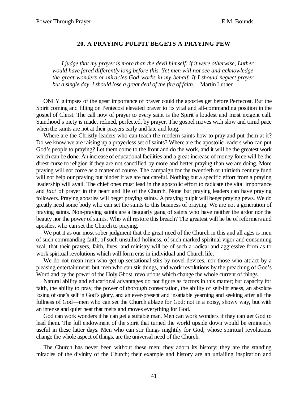# **20. A PRAYING PULPIT BEGETS A PRAYING PEW**

*I judge that my prayer is more than the devil himself; if it were otherwise, Luther would have fared differently long before this. Yet men will not see and acknowledge the great wonders or miracles God works in my behalf. If I should neglect prayer but a single day, I should lose a great deal of the fire of faith*—Martin Luther

ONLY glimpses of the great importance of prayer could the apostles get before Pentecost. But the Spirit coming and filling on Pentecost elevated prayer to its vital and all-commanding position in the gospel of Christ. The call now of prayer to every saint is the Spirit's loudest and most exigent call. Sainthood's piety is made, refined, perfected, by prayer. The gospel moves with slow and timid pace when the saints are not at their prayers early and late and long.

Where are the Christly leaders who can teach the modern saints how to pray and put them at it? Do we know we are raising up a prayerless set of saints? Where are the apostolic leaders who can put God's people to praying? Let them come to the front and do the work, and it will be the greatest work which can be done. An increase of educational facilities and a great increase of money force will be the direst curse to religion if they are not sanctified by more and better praying than we are doing. More praying will not come as a matter of course. The campaign for the twentieth or thirtieth century fund will not help our praying but hinder if we are not careful. Nothing but a specific effort from a praying leadership will avail. The chief ones must lead in the apostolic effort to radicate the vital importance and *fact* of prayer in the heart and life of the Church. None but praying leaders can have praying followers. Praying apostles will beget praying saints. A praying pulpit will beget praying pews. We do greatly need some body who can set the saints to this business of praying. We are not a generation of praying saints. Non-praying saints are a beggarly gang of saints who have neither the ardor nor the beauty nor the power of saints. Who will restore this breach? The greatest will he be of reformers and apostles, who can set the Church to praying.

We put it as our most sober judgment that the great need of the Church in this and all ages is men of such commanding faith, of such unsullied holiness, of such marked spiritual vigor and consuming zeal, that their prayers, faith, lives, and ministry will be of such a radical and aggressive form as to work spiritual revolutions which will form eras in individual and Church life.

We do not mean men who get up sensational stirs by novel devices, nor those who attract by a pleasing entertainment; but men who can stir things, and work revolutions by the preaching of God's Word and by the power of the Holy Ghost, revolutions which change the whole current of things.

Natural ability and educational advantages do not figure as factors in this matter; but capacity for faith, the ability to pray, the power of thorough consecration, the ability of self-littleness, an absolute losing of one's self in God's glory, and an ever-present and insatiable yearning and seeking after all the fullness of God—men who can set the Church ablaze for God; not in a noisy, showy way, but with an intense and quiet heat that melts and moves everything for God.

God can work wonders if he can get a suitable man. Men can work wonders if they can get God to lead them. The full endowment of the spirit that turned the world upside down would be eminently useful in these latter days. Men who can stir things mightily for God, whose spiritual revolutions change the whole aspect of things, are the universal need of the Church.

The Church has never been without these men; they adorn its history; they are the standing miracles of the divinity of the Church; their example and history are an unfailing inspiration and